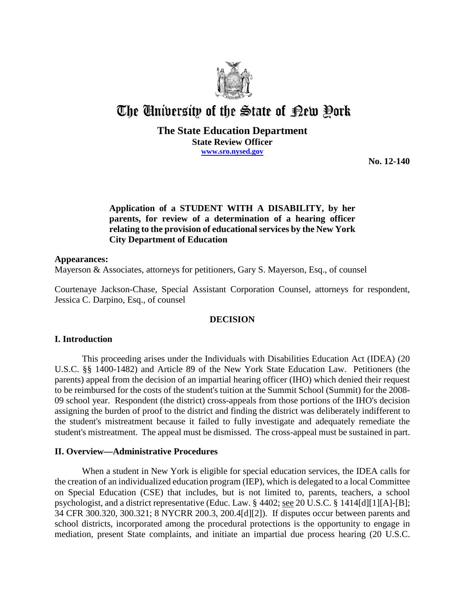

# The University of the State of Rew Pork

## **The State Education Department State Review Officer www.sro.nysed.gov**

**No. 12-140** 

# **Application of a STUDENT WITH A DISABILITY, by her parents, for review of a determination of a hearing officer relating to the provision of educational services by the New York City Department of Education**

## **Appearances:**

Mayerson & Associates, attorneys for petitioners, Gary S. Mayerson, Esq., of counsel

Courtenaye Jackson-Chase, Special Assistant Corporation Counsel, attorneys for respondent, Jessica C. Darpino, Esq., of counsel

# **DECISION**

# **I. Introduction**

This proceeding arises under the Individuals with Disabilities Education Act (IDEA) (20 U.S.C. §§ 1400-1482) and Article 89 of the New York State Education Law. Petitioners (the parents) appeal from the decision of an impartial hearing officer (IHO) which denied their request to be reimbursed for the costs of the student's tuition at the Summit School (Summit) for the 2008- 09 school year. Respondent (the district) cross-appeals from those portions of the IHO's decision assigning the burden of proof to the district and finding the district was deliberately indifferent to the student's mistreatment because it failed to fully investigate and adequately remediate the student's mistreatment. The appeal must be dismissed. The cross-appeal must be sustained in part.

## **II. Overview—Administrative Procedures**

When a student in New York is eligible for special education services, the IDEA calls for the creation of an individualized education program (IEP), which is delegated to a local Committee on Special Education (CSE) that includes, but is not limited to, parents, teachers, a school psychologist, and a district representative (Educ. Law. § 4402; see 20 U.S.C. § 1414[d][1][A]-[B]; 34 CFR 300.320, 300.321; 8 NYCRR 200.3, 200.4[d][2]). If disputes occur between parents and school districts, incorporated among the procedural protections is the opportunity to engage in mediation, present State complaints, and initiate an impartial due process hearing (20 U.S.C.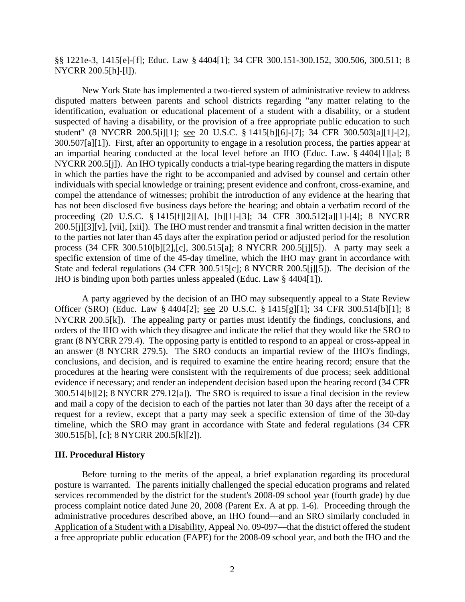§§ 1221e-3, 1415[e]-[f]; Educ. Law § 4404[1]; 34 CFR 300.151-300.152, 300.506, 300.511; 8 NYCRR 200.5[h]-[l]).

New York State has implemented a two-tiered system of administrative review to address disputed matters between parents and school districts regarding "any matter relating to the identification, evaluation or educational placement of a student with a disability, or a student suspected of having a disability, or the provision of a free appropriate public education to such student" (8 NYCRR 200.5[i][1]; see 20 U.S.C. § 1415[b][6]-[7]; 34 CFR 300.503[a][1]-[2], 300.507[a][1]). First, after an opportunity to engage in a resolution process, the parties appear at an impartial hearing conducted at the local level before an IHO (Educ. Law. § 4404[1][a]; 8 NYCRR 200.5[j]). An IHO typically conducts a trial-type hearing regarding the matters in dispute in which the parties have the right to be accompanied and advised by counsel and certain other individuals with special knowledge or training; present evidence and confront, cross-examine, and compel the attendance of witnesses; prohibit the introduction of any evidence at the hearing that has not been disclosed five business days before the hearing; and obtain a verbatim record of the proceeding (20 U.S.C. § 1415[f][2][A], [h][1]-[3]; 34 CFR 300.512[a][1]-[4]; 8 NYCRR 200.5[j][3][v], [vii], [xii]). The IHO must render and transmit a final written decision in the matter to the parties not later than 45 days after the expiration period or adjusted period for the resolution process (34 CFR 300.510[b][2],[c], 300.515[a]; 8 NYCRR 200.5[j][5]). A party may seek a specific extension of time of the 45-day timeline, which the IHO may grant in accordance with State and federal regulations (34 CFR 300.515[c]; 8 NYCRR 200.5[j][5]). The decision of the IHO is binding upon both parties unless appealed (Educ. Law § 4404[1]).

A party aggrieved by the decision of an IHO may subsequently appeal to a State Review Officer (SRO) (Educ. Law § 4404[2]; see 20 U.S.C. § 1415[g][1]; 34 CFR 300.514[b][1]; 8 NYCRR 200.5[k]). The appealing party or parties must identify the findings, conclusions, and orders of the IHO with which they disagree and indicate the relief that they would like the SRO to grant (8 NYCRR 279.4). The opposing party is entitled to respond to an appeal or cross-appeal in an answer (8 NYCRR 279.5). The SRO conducts an impartial review of the IHO's findings, conclusions, and decision, and is required to examine the entire hearing record; ensure that the procedures at the hearing were consistent with the requirements of due process; seek additional evidence if necessary; and render an independent decision based upon the hearing record (34 CFR 300.514[b][2]; 8 NYCRR 279.12[a]). The SRO is required to issue a final decision in the review and mail a copy of the decision to each of the parties not later than 30 days after the receipt of a request for a review, except that a party may seek a specific extension of time of the 30-day timeline, which the SRO may grant in accordance with State and federal regulations (34 CFR 300.515[b], [c]; 8 NYCRR 200.5[k][2]).

#### **III. Procedural History**

Before turning to the merits of the appeal, a brief explanation regarding its procedural posture is warranted. The parents initially challenged the special education programs and related services recommended by the district for the student's 2008-09 school year (fourth grade) by due process complaint notice dated June 20, 2008 (Parent Ex. A at pp. 1-6). Proceeding through the administrative procedures described above, an IHO found—and an SRO similarly concluded in Application of a Student with a Disability, Appeal No. 09-097—that the district offered the student a free appropriate public education (FAPE) for the 2008-09 school year, and both the IHO and the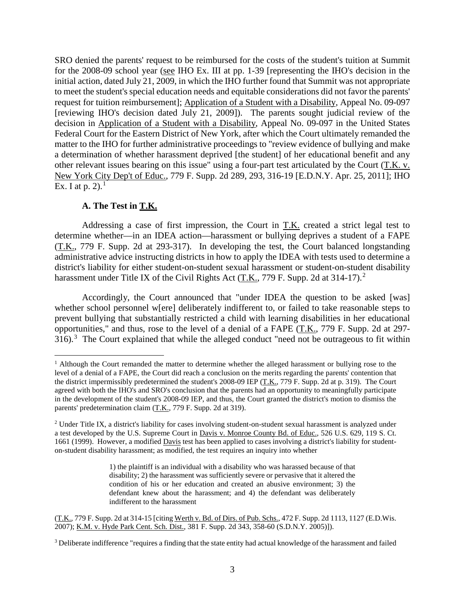SRO denied the parents' request to be reimbursed for the costs of the student's tuition at Summit for the 2008-09 school year (see IHO Ex. III at pp. 1-39 [representing the IHO's decision in the initial action, dated July 21, 2009, in which the IHO further found that Summit was not appropriate to meet the student's special education needs and equitable considerations did not favor the parents' request for tuition reimbursement]; Application of a Student with a Disability, Appeal No. 09-097 [reviewing IHO's decision dated July 21, 2009]). The parents sought judicial review of the decision in Application of a Student with a Disability, Appeal No. 09-097 in the United States Federal Court for the Eastern District of New York, after which the Court ultimately remanded the matter to the IHO for further administrative proceedings to "review evidence of bullying and make a determination of whether harassment deprived [the student] of her educational benefit and any other relevant issues bearing on this issue" using a four-part test articulated by the Court (T.K. v. New York City Dep't of Educ., 779 F. Supp. 2d 289, 293, 316-19 [E.D.N.Y. Apr. 25, 2011]; IHO Ex. I at p.  $2)$ .<sup>1</sup>

# **A. The Test in T.K.**

Addressing a case of first impression, the Court in T.K. created a strict legal test to determine whether—in an IDEA action—harassment or bullying deprives a student of a FAPE (T.K., 779 F. Supp. 2d at 293-317). In developing the test, the Court balanced longstanding administrative advice instructing districts in how to apply the IDEA with tests used to determine a district's liability for either student-on-student sexual harassment or student-on-student disability harassment under Title IX of the Civil Rights Act (T.K., 779 F. Supp. 2d at 314-17).<sup>2</sup>

Accordingly, the Court announced that "under IDEA the question to be asked [was] whether school personnel w[ere] deliberately indifferent to, or failed to take reasonable steps to prevent bullying that substantially restricted a child with learning disabilities in her educational opportunities," and thus, rose to the level of a denial of a FAPE (T.K., 779 F. Supp. 2d at 297-  $316$ .<sup>3</sup> The Court explained that while the alleged conduct "need not be outrageous to fit within

<sup>&</sup>lt;sup>1</sup> Although the Court remanded the matter to determine whether the alleged harassment or bullying rose to the level of a denial of a FAPE, the Court did reach a conclusion on the merits regarding the parents' contention that the district impermissibly predetermined the student's 2008-09 IEP (T.K., 779 F. Supp. 2d at p. 319). The Court agreed with both the IHO's and SRO's conclusion that the parents had an opportunity to meaningfully participate in the development of the student's 2008-09 IEP, and thus, the Court granted the district's motion to dismiss the parents' predetermination claim (T.K., 779 F. Supp. 2d at 319).

<sup>&</sup>lt;sup>2</sup> Under Title IX, a district's liability for cases involving student-on-student sexual harassment is analyzed under a test developed by the U.S. Supreme Court in Davis v. Monroe County Bd. of Educ., 526 U.S. 629, 119 S. Ct. 1661 (1999). However, a modified Davis test has been applied to cases involving a district's liability for studenton-student disability harassment; as modified, the test requires an inquiry into whether

<sup>1)</sup> the plaintiff is an individual with a disability who was harassed because of that disability; 2) the harassment was sufficiently severe or pervasive that it altered the condition of his or her education and created an abusive environment; 3) the defendant knew about the harassment; and 4) the defendant was deliberately indifferent to the harassment

<sup>(</sup>T.K., 779 F. Supp. 2d at 314-15 [citing Werth v. Bd. of Dirs. of Pub. Schs., 472 F. Supp. 2d 1113, 1127 (E.D.Wis. 2007); K.M. v. Hyde Park Cent. Sch. Dist., 381 F. Supp. 2d 343, 358-60 (S.D.N.Y. 2005)]).

<sup>&</sup>lt;sup>3</sup> Deliberate indifference "requires a finding that the state entity had actual knowledge of the harassment and failed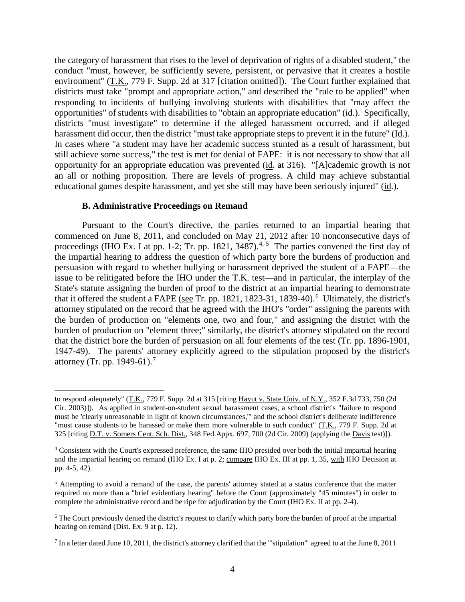the category of harassment that rises to the level of deprivation of rights of a disabled student," the conduct "must, however, be sufficiently severe, persistent, or pervasive that it creates a hostile environment" (T.K., 779 F. Supp. 2d at 317 [citation omitted]). The Court further explained that districts must take "prompt and appropriate action," and described the "rule to be applied" when responding to incidents of bullying involving students with disabilities that "may affect the opportunities" of students with disabilities to "obtain an appropriate education" (id.). Specifically, districts "must investigate" to determine if the alleged harassment occurred, and if alleged harassment did occur, then the district "must take appropriate steps to prevent it in the future" (Id.). In cases where "a student may have her academic success stunted as a result of harassment, but still achieve some success," the test is met for denial of FAPE: it is not necessary to show that all opportunity for an appropriate education was prevented (id. at 316). "[A]cademic growth is not an all or nothing proposition. There are levels of progress. A child may achieve substantial educational games despite harassment, and yet she still may have been seriously injured" (id.).

## **B. Administrative Proceedings on Remand**

 $\overline{a}$ 

Pursuant to the Court's directive, the parties returned to an impartial hearing that commenced on June 8, 2011, and concluded on May 21, 2012 after 10 nonconsecutive days of proceedings (IHO Ex. I at pp. 1-2; Tr. pp. 1821, 3487).<sup>4, 5</sup> The parties convened the first day of the impartial hearing to address the question of which party bore the burdens of production and persuasion with regard to whether bullying or harassment deprived the student of a FAPE—the issue to be relitigated before the IHO under the T.K. test—and in particular, the interplay of the State's statute assigning the burden of proof to the district at an impartial hearing to demonstrate that it offered the student a FAPE (see Tr. pp. 1821, 1823-31, 1839-40).<sup>6</sup> Ultimately, the district's attorney stipulated on the record that he agreed with the IHO's "order" assigning the parents with the burden of production on "elements one, two and four," and assigning the district with the burden of production on "element three;" similarly, the district's attorney stipulated on the record that the district bore the burden of persuasion on all four elements of the test (Tr. pp. 1896-1901, 1947-49). The parents' attorney explicitly agreed to the stipulation proposed by the district's attorney (Tr. pp. 1949-61).<sup>7</sup>

to respond adequately" (T.K., 779 F. Supp. 2d at 315 [citing Hayut v. State Univ. of N.Y., 352 F.3d 733, 750 (2d Cir. 2003)]). As applied in student-on-student sexual harassment cases, a school district's "failure to respond must be 'clearly unreasonable in light of known circumstances,'" and the school district's deliberate indifference "must cause students to be harassed or make them more vulnerable to such conduct"  $(T.K., 779 F. Supp. 2d at$ 325 [citing D.T. v. Somers Cent. Sch. Dist., 348 Fed.Appx. 697, 700 (2d Cir. 2009) (applying the Davis test)]).

<sup>4</sup> Consistent with the Court's expressed preference, the same IHO presided over both the initial impartial hearing and the impartial hearing on remand (IHO Ex. I at p. 2; compare IHO Ex. III at pp. 1, 35, with IHO Decision at pp. 4-5, 42).

<sup>5</sup> Attempting to avoid a remand of the case, the parents' attorney stated at a status conference that the matter required no more than a "brief evidentiary hearing" before the Court (approximately "45 minutes") in order to complete the administrative record and be ripe for adjudication by the Court (IHO Ex. II at pp. 2-4).

<sup>&</sup>lt;sup>6</sup> The Court previously denied the district's request to clarify which party bore the burden of proof at the impartial hearing on remand (Dist. Ex. 9 at p. 12).

<sup>7</sup> In a letter dated June 10, 2011, the district's attorney clarified that the "'stipulation'" agreed to at the June 8, 2011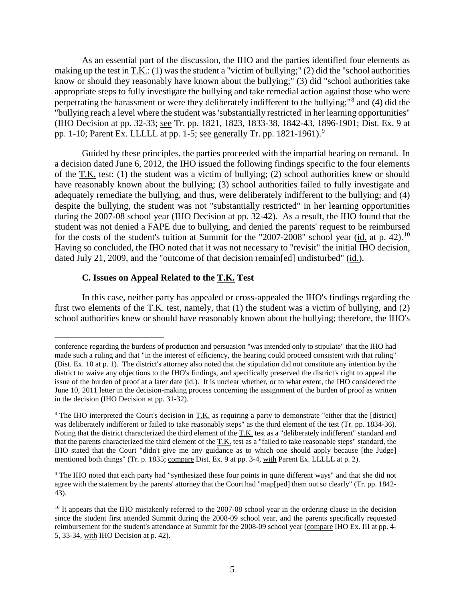As an essential part of the discussion, the IHO and the parties identified four elements as making up the test in T.K.: (1) was the student a "victim of bullying;" (2) did the "school authorities know or should they reasonably have known about the bullying;" (3) did "school authorities take appropriate steps to fully investigate the bullying and take remedial action against those who were perpetrating the harassment or were they deliberately indifferent to the bullying;"<sup>8</sup> and (4) did the "bullying reach a level where the student was 'substantially restricted' in her learning opportunities" (IHO Decision at pp. 32-33; see Tr. pp. 1821, 1823, 1833-38, 1842-43, 1896-1901; Dist. Ex. 9 at pp. 1-10; Parent Ex. LLLLL at pp. 1-5; see generally Tr. pp. 1821-1961).<sup>9</sup>

Guided by these principles, the parties proceeded with the impartial hearing on remand. In a decision dated June 6, 2012, the IHO issued the following findings specific to the four elements of the T.K. test: (1) the student was a victim of bullying; (2) school authorities knew or should have reasonably known about the bullying; (3) school authorities failed to fully investigate and adequately remediate the bullying, and thus, were deliberately indifferent to the bullying; and (4) despite the bullying, the student was not "substantially restricted" in her learning opportunities during the 2007-08 school year (IHO Decision at pp. 32-42). As a result, the IHO found that the student was not denied a FAPE due to bullying, and denied the parents' request to be reimbursed for the costs of the student's tuition at Summit for the "2007-2008" school year (id. at p. 42).<sup>10</sup> Having so concluded, the IHO noted that it was not necessary to "revisit" the initial IHO decision, dated July 21, 2009, and the "outcome of that decision remain[ed] undisturbed" (id.).

## **C. Issues on Appeal Related to the T.K. Test**

 $\overline{a}$ 

In this case, neither party has appealed or cross-appealed the IHO's findings regarding the first two elements of the T.K. test, namely, that (1) the student was a victim of bullying, and (2) school authorities knew or should have reasonably known about the bullying; therefore, the IHO's

conference regarding the burdens of production and persuasion "was intended only to stipulate" that the IHO had made such a ruling and that "in the interest of efficiency, the hearing could proceed consistent with that ruling" (Dist. Ex. 10 at p. 1). The district's attorney also noted that the stipulation did not constitute any intention by the district to waive any objections to the IHO's findings, and specifically preserved the district's right to appeal the issue of the burden of proof at a later date (id.). It is unclear whether, or to what extent, the IHO considered the June 10, 2011 letter in the decision-making process concerning the assignment of the burden of proof as written in the decision (IHO Decision at pp. 31-32).

<sup>&</sup>lt;sup>8</sup> The IHO interpreted the Court's decision in T.K. as requiring a party to demonstrate "either that the [district] was deliberately indifferent or failed to take reasonably steps" as the third element of the test (Tr. pp. 1834-36). Noting that the district characterized the third element of the T.K. test as a "deliberately indifferent" standard and that the parents characterized the third element of the T.K. test as a "failed to take reasonable steps" standard, the IHO stated that the Court "didn't give me any guidance as to which one should apply because [the Judge] mentioned both things" (Tr. p. 1835; compare Dist. Ex. 9 at pp. 3-4, with Parent Ex. LLLLL at p. 2).

<sup>9</sup> The IHO noted that each party had "synthesized these four points in quite different ways" and that she did not agree with the statement by the parents' attorney that the Court had "map[ped] them out so clearly" (Tr. pp. 1842- 43).

<sup>&</sup>lt;sup>10</sup> It appears that the IHO mistakenly referred to the 2007-08 school year in the ordering clause in the decision since the student first attended Summit during the 2008-09 school year, and the parents specifically requested reimbursement for the student's attendance at Summit for the 2008-09 school year (compare IHO Ex. III at pp. 4- 5, 33-34, with IHO Decision at p. 42).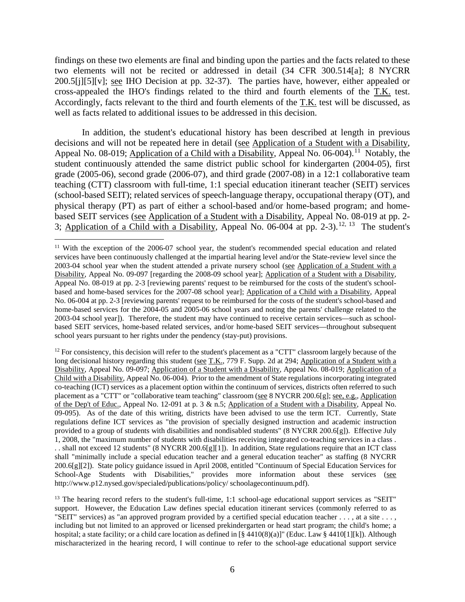findings on these two elements are final and binding upon the parties and the facts related to these two elements will not be recited or addressed in detail (34 CFR 300.514[a]; 8 NYCRR 200.5[j][5][v]; see IHO Decision at pp. 32-37). The parties have, however, either appealed or cross-appealed the IHO's findings related to the third and fourth elements of the T.K. test. Accordingly, facts relevant to the third and fourth elements of the T.K. test will be discussed, as well as facts related to additional issues to be addressed in this decision.

In addition, the student's educational history has been described at length in previous decisions and will not be repeated here in detail (see Application of a Student with a Disability, Appeal No. 08-019; Application of a Child with a Disability, Appeal No. 06-004).<sup>11</sup> Notably, the student continuously attended the same district public school for kindergarten (2004-05), first grade (2005-06), second grade (2006-07), and third grade (2007-08) in a 12:1 collaborative team teaching (CTT) classroom with full-time, 1:1 special education itinerant teacher (SEIT) services (school-based SEIT); related services of speech-language therapy, occupational therapy (OT), and physical therapy (PT) as part of either a school-based and/or home-based program; and homebased SEIT services (see Application of a Student with a Disability, Appeal No. 08-019 at pp. 2- 3; Application of a Child with a Disability, Appeal No. 06-004 at pp. 2-3).<sup>12, 13</sup> The student's

 $11$  With the exception of the 2006-07 school year, the student's recommended special education and related services have been continuously challenged at the impartial hearing level and/or the State-review level since the 2003-04 school year when the student attended a private nursery school (see Application of a Student with a Disability, Appeal No. 09-097 [regarding the 2008-09 school year]; Application of a Student with a Disability, Appeal No. 08-019 at pp. 2-3 [reviewing parents' request to be reimbursed for the costs of the student's schoolbased and home-based services for the 2007-08 school year]; Application of a Child with a Disability, Appeal No. 06-004 at pp. 2-3 [reviewing parents' request to be reimbursed for the costs of the student's school-based and home-based services for the 2004-05 and 2005-06 school years and noting the parents' challenge related to the 2003-04 school year]). Therefore, the student may have continued to receive certain services—such as schoolbased SEIT services, home-based related services, and/or home-based SEIT services—throughout subsequent school years pursuant to her rights under the pendency (stay-put) provisions.

 $12$  For consistency, this decision will refer to the student's placement as a "CTT" classroom largely because of the long decisional history regarding this student (see T.K., 779 F. Supp. 2d at 294; Application of a Student with a Disability, Appeal No. 09-097; Application of a Student with a Disability, Appeal No. 08-019; Application of a Child with a Disability, Appeal No. 06-004). Prior to the amendment of State regulations incorporating integrated co-teaching (ICT) services as a placement option within the continuum of services, districts often referred to such placement as a "CTT" or "collaborative team teaching" classroom (see 8 NYCRR 200.6[g]; see, e.g., Application of the Dep't of Educ., Appeal No. 12-091 at p. 3 & n.5; Application of a Student with a Disability, Appeal No. 09-095). As of the date of this writing, districts have been advised to use the term ICT. Currently, State regulations define ICT services as "the provision of specially designed instruction and academic instruction provided to a group of students with disabilities and nondisabled students" (8 NYCRR 200.6[g]). Effective July 1, 2008, the "maximum number of students with disabilities receiving integrated co-teaching services in a class . . . shall not exceed 12 students" (8 NYCRR 200.6[g][1]). In addition, State regulations require that an ICT class shall "minimally include a special education teacher and a general education teacher" as staffing (8 NYCRR 200.6[g][2]). State policy guidance issued in April 2008, entitled "Continuum of Special Education Services for School-Age Students with Disabilities," provides more information about these services (see http://www.p12.nysed.gov/specialed/publications/policy/ schoolagecontinuum.pdf).

<sup>&</sup>lt;sup>13</sup> The hearing record refers to the student's full-time, 1:1 school-age educational support services as "SEIT" support. However, the Education Law defines special education itinerant services (commonly referred to as "SEIT" services) as "an approved program provided by a certified special education teacher . . . , at a site . . . , including but not limited to an approved or licensed prekindergarten or head start program; the child's home; a hospital; a state facility; or a child care location as defined in [§ 4410(8)(a)]" (Educ. Law § 4410[1][k]). Although mischaracterized in the hearing record, I will continue to refer to the school-age educational support service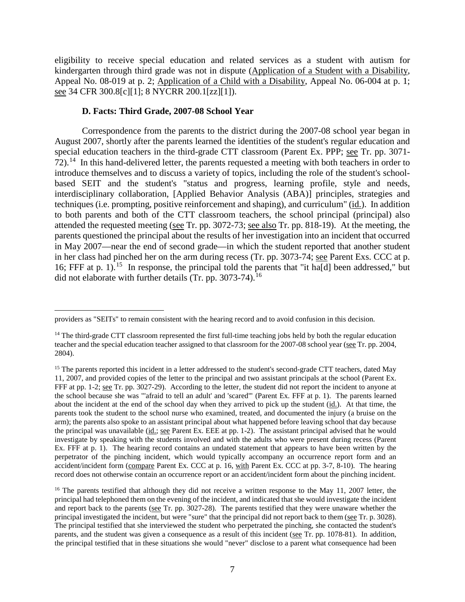eligibility to receive special education and related services as a student with autism for kindergarten through third grade was not in dispute (Application of a Student with a Disability, Appeal No. 08-019 at p. 2; Application of a Child with a Disability, Appeal No. 06-004 at p. 1; see 34 CFR 300.8[c][1]; 8 NYCRR 200.1[zz][1]).

## **D. Facts: Third Grade, 2007-08 School Year**

Correspondence from the parents to the district during the 2007-08 school year began in August 2007, shortly after the parents learned the identities of the student's regular education and special education teachers in the third-grade CTT classroom (Parent Ex. PPP; see Tr. pp. 3071-  $72$ ).<sup>14</sup> In this hand-delivered letter, the parents requested a meeting with both teachers in order to introduce themselves and to discuss a variety of topics, including the role of the student's schoolbased SEIT and the student's "status and progress, learning profile, style and needs, interdisciplinary collaboration, [Applied Behavior Analysis (ABA)] principles, strategies and techniques (i.e. prompting, positive reinforcement and shaping), and curriculum" (id.). In addition to both parents and both of the CTT classroom teachers, the school principal (principal) also attended the requested meeting (see Tr. pp. 3072-73; see also Tr. pp. 818-19). At the meeting, the parents questioned the principal about the results of her investigation into an incident that occurred in May 2007—near the end of second grade—in which the student reported that another student in her class had pinched her on the arm during recess (Tr. pp. 3073-74; see Parent Exs. CCC at p. 16; FFF at p. 1).<sup>15</sup> In response, the principal told the parents that "it ha<sup>[d]</sup> been addressed," but did not elaborate with further details (Tr. pp.  $3073-74$ ).<sup>16</sup>

 $\overline{a}$ providers as "SEITs" to remain consistent with the hearing record and to avoid confusion in this decision.

 $14$  The third-grade CTT classroom represented the first full-time teaching jobs held by both the regular education teacher and the special education teacher assigned to that classroom for the 2007-08 school year (see Tr. pp. 2004, 2804).

<sup>&</sup>lt;sup>15</sup> The parents reported this incident in a letter addressed to the student's second-grade CTT teachers, dated May 11, 2007, and provided copies of the letter to the principal and two assistant principals at the school (Parent Ex. FFF at pp. 1-2; see Tr. pp. 3027-29). According to the letter, the student did not report the incident to anyone at the school because she was "'afraid to tell an adult' and 'scared'" (Parent Ex. FFF at p. 1). The parents learned about the incident at the end of the school day when they arrived to pick up the student (id.). At that time, the parents took the student to the school nurse who examined, treated, and documented the injury (a bruise on the arm); the parents also spoke to an assistant principal about what happened before leaving school that day because the principal was unavailable (id.; see Parent Ex. EEE at pp. 1-2). The assistant principal advised that he would investigate by speaking with the students involved and with the adults who were present during recess (Parent Ex. FFF at p. 1). The hearing record contains an undated statement that appears to have been written by the perpetrator of the pinching incident, which would typically accompany an occurrence report form and an accident/incident form (compare Parent Ex. CCC at p. 16, with Parent Ex. CCC at pp. 3-7, 8-10). The hearing record does not otherwise contain an occurrence report or an accident/incident form about the pinching incident.

<sup>&</sup>lt;sup>16</sup> The parents testified that although they did not receive a written response to the May 11, 2007 letter, the principal had telephoned them on the evening of the incident, and indicated that she would investigate the incident and report back to the parents (see Tr. pp. 3027-28). The parents testified that they were unaware whether the principal investigated the incident, but were "sure" that the principal did not report back to them (see Tr. p. 3028). The principal testified that she interviewed the student who perpetrated the pinching, she contacted the student's parents, and the student was given a consequence as a result of this incident (see Tr. pp. 1078-81). In addition, the principal testified that in these situations she would "never" disclose to a parent what consequence had been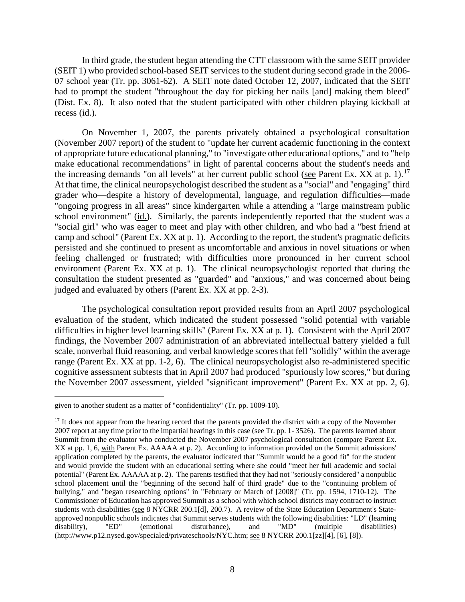In third grade, the student began attending the CTT classroom with the same SEIT provider (SEIT 1) who provided school-based SEIT services to the student during second grade in the 2006- 07 school year (Tr. pp. 3061-62). A SEIT note dated October 12, 2007, indicated that the SEIT had to prompt the student "throughout the day for picking her nails [and] making them bleed" (Dist. Ex. 8). It also noted that the student participated with other children playing kickball at recess  $(id.)$ .

On November 1, 2007, the parents privately obtained a psychological consultation (November 2007 report) of the student to "update her current academic functioning in the context of appropriate future educational planning," to "investigate other educational options," and to "help make educational recommendations" in light of parental concerns about the student's needs and the increasing demands "on all levels" at her current public school (see Parent Ex. XX at p. 1).<sup>17</sup> At that time, the clinical neuropsychologist described the student as a "social" and "engaging" third grader who—despite a history of developmental, language, and regulation difficulties—made "ongoing progress in all areas" since kindergarten while a attending a "large mainstream public school environment" (id.). Similarly, the parents independently reported that the student was a "social girl" who was eager to meet and play with other children, and who had a "best friend at camp and school" (Parent Ex. XX at p. 1). According to the report, the student's pragmatic deficits persisted and she continued to present as uncomfortable and anxious in novel situations or when feeling challenged or frustrated; with difficulties more pronounced in her current school environment (Parent Ex. XX at p. 1). The clinical neuropsychologist reported that during the consultation the student presented as "guarded" and "anxious," and was concerned about being judged and evaluated by others (Parent Ex. XX at pp. 2-3).

The psychological consultation report provided results from an April 2007 psychological evaluation of the student, which indicated the student possessed "solid potential with variable difficulties in higher level learning skills" (Parent Ex. XX at p. 1). Consistent with the April 2007 findings, the November 2007 administration of an abbreviated intellectual battery yielded a full scale, nonverbal fluid reasoning, and verbal knowledge scores that fell "solidly" within the average range (Parent Ex. XX at pp. 1-2, 6). The clinical neuropsychologist also re-administered specific cognitive assessment subtests that in April 2007 had produced "spuriously low scores," but during the November 2007 assessment, yielded "significant improvement" (Parent Ex. XX at pp. 2, 6).

given to another student as a matter of "confidentiality" (Tr. pp. 1009-10).

<sup>&</sup>lt;sup>17</sup> It does not appear from the hearing record that the parents provided the district with a copy of the November 2007 report at any time prior to the impartial hearings in this case (see Tr. pp. 1- 3526). The parents learned about Summit from the evaluator who conducted the November 2007 psychological consultation (compare Parent Ex. XX at pp. 1, 6, with Parent Ex. AAAAA at p. 2). According to information provided on the Summit admissions' application completed by the parents, the evaluator indicated that "Summit would be a good fit" for the student and would provide the student with an educational setting where she could "meet her full academic and social potential" (Parent Ex. AAAAA at p. 2). The parents testified that they had not "seriously considered" a nonpublic school placement until the "beginning of the second half of third grade" due to the "continuing problem of bullying," and "began researching options" in "February or March of [2008]" (Tr. pp. 1594, 1710-12). The Commissioner of Education has approved Summit as a school with which school districts may contract to instruct students with disabilities (see 8 NYCRR 200.1[d], 200.7). A review of the State Education Department's Stateapproved nonpublic schools indicates that Summit serves students with the following disabilities: "LD" (learning disabilitiv), "ED" (emotional disturbance), and "MD" (multiple disabilities) disturbance), (http://www.p12.nysed.gov/specialed/privateschools/NYC.htm; see 8 NYCRR 200.1[zz][4], [6], [8]).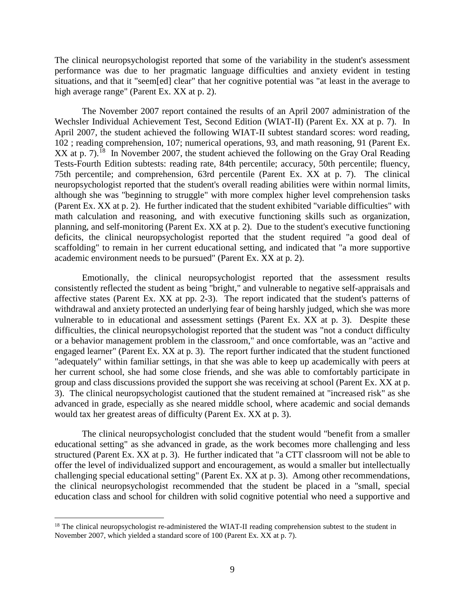The clinical neuropsychologist reported that some of the variability in the student's assessment performance was due to her pragmatic language difficulties and anxiety evident in testing situations, and that it "seem[ed] clear" that her cognitive potential was "at least in the average to high average range" (Parent Ex. XX at p. 2).

The November 2007 report contained the results of an April 2007 administration of the Wechsler Individual Achievement Test, Second Edition (WIAT-II) (Parent Ex. XX at p. 7). In April 2007, the student achieved the following WIAT-II subtest standard scores: word reading, 102 ; reading comprehension, 107; numerical operations, 93, and math reasoning, 91 (Parent Ex.  $XX$  at p. 7).<sup>18</sup> In November 2007, the student achieved the following on the Gray Oral Reading Tests-Fourth Edition subtests: reading rate, 84th percentile; accuracy, 50th percentile; fluency, 75th percentile; and comprehension, 63rd percentile (Parent Ex. XX at p. 7). The clinical neuropsychologist reported that the student's overall reading abilities were within normal limits, although she was "beginning to struggle" with more complex higher level comprehension tasks (Parent Ex. XX at p. 2). He further indicated that the student exhibited "variable difficulties" with math calculation and reasoning, and with executive functioning skills such as organization, planning, and self-monitoring (Parent Ex. XX at p. 2). Due to the student's executive functioning deficits, the clinical neuropsychologist reported that the student required "a good deal of scaffolding" to remain in her current educational setting, and indicated that "a more supportive academic environment needs to be pursued" (Parent Ex. XX at p. 2).

Emotionally, the clinical neuropsychologist reported that the assessment results consistently reflected the student as being "bright," and vulnerable to negative self-appraisals and affective states (Parent Ex. XX at pp. 2-3). The report indicated that the student's patterns of withdrawal and anxiety protected an underlying fear of being harshly judged, which she was more vulnerable to in educational and assessment settings (Parent Ex. XX at p. 3). Despite these difficulties, the clinical neuropsychologist reported that the student was "not a conduct difficulty or a behavior management problem in the classroom," and once comfortable, was an "active and engaged learner" (Parent Ex. XX at p. 3). The report further indicated that the student functioned "adequately" within familiar settings, in that she was able to keep up academically with peers at her current school, she had some close friends, and she was able to comfortably participate in group and class discussions provided the support she was receiving at school (Parent Ex. XX at p. 3). The clinical neuropsychologist cautioned that the student remained at "increased risk" as she advanced in grade, especially as she neared middle school, where academic and social demands would tax her greatest areas of difficulty (Parent Ex. XX at p. 3).

The clinical neuropsychologist concluded that the student would "benefit from a smaller educational setting" as she advanced in grade, as the work becomes more challenging and less structured (Parent Ex. XX at p. 3). He further indicated that "a CTT classroom will not be able to offer the level of individualized support and encouragement, as would a smaller but intellectually challenging special educational setting" (Parent Ex. XX at p. 3). Among other recommendations, the clinical neuropsychologist recommended that the student be placed in a "small, special education class and school for children with solid cognitive potential who need a supportive and

<sup>&</sup>lt;sup>18</sup> The clinical neuropsychologist re-administered the WIAT-II reading comprehension subtest to the student in November 2007, which yielded a standard score of 100 (Parent Ex. XX at p. 7).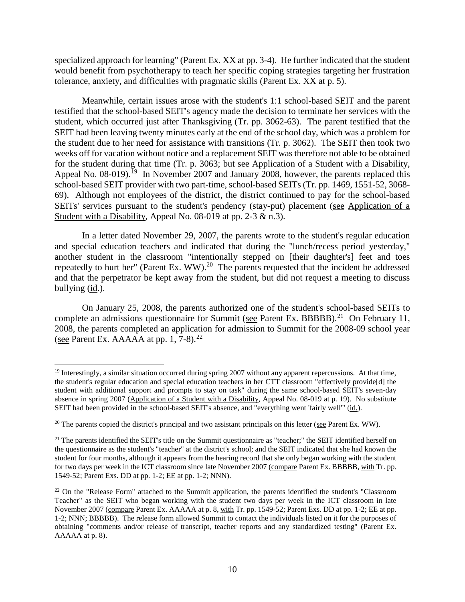specialized approach for learning" (Parent Ex. XX at pp. 3-4). He further indicated that the student would benefit from psychotherapy to teach her specific coping strategies targeting her frustration tolerance, anxiety, and difficulties with pragmatic skills (Parent Ex. XX at p. 5).

Meanwhile, certain issues arose with the student's 1:1 school-based SEIT and the parent testified that the school-based SEIT's agency made the decision to terminate her services with the student, which occurred just after Thanksgiving (Tr. pp. 3062-63). The parent testified that the SEIT had been leaving twenty minutes early at the end of the school day, which was a problem for the student due to her need for assistance with transitions (Tr. p. 3062). The SEIT then took two weeks off for vacation without notice and a replacement SEIT was therefore not able to be obtained for the student during that time (Tr. p. 3063; but see Application of a Student with a Disability, Appeal No. 08-019).<sup>19</sup> In November 2007 and January 2008, however, the parents replaced this school-based SEIT provider with two part-time, school-based SEITs (Tr. pp. 1469, 1551-52, 3068- 69). Although not employees of the district, the district continued to pay for the school-based SEITs' services pursuant to the student's pendency (stay-put) placement (see Application of a Student with a Disability, Appeal No. 08-019 at pp. 2-3  $\&$  n.3).

In a letter dated November 29, 2007, the parents wrote to the student's regular education and special education teachers and indicated that during the "lunch/recess period yesterday," another student in the classroom "intentionally stepped on [their daughter's] feet and toes repeatedly to hurt her" (Parent Ex. WW).<sup>20</sup> The parents requested that the incident be addressed and that the perpetrator be kept away from the student, but did not request a meeting to discuss bullying (id.).

On January 25, 2008, the parents authorized one of the student's school-based SEITs to complete an admissions questionnaire for Summit (see Parent Ex. BBBBB).<sup>21</sup> On February 11, 2008, the parents completed an application for admission to Summit for the 2008-09 school year (see Parent Ex. AAAAA at pp.  $1, 7-8$ ).<sup>22</sup>

<sup>&</sup>lt;sup>19</sup> Interestingly, a similar situation occurred during spring 2007 without any apparent repercussions. At that time, the student's regular education and special education teachers in her CTT classroom "effectively provide[d] the student with additional support and prompts to stay on task" during the same school-based SEIT's seven-day absence in spring 2007 (Application of a Student with a Disability, Appeal No. 08-019 at p. 19). No substitute SEIT had been provided in the school-based SEIT's absence, and "everything went 'fairly well'" (id.).

<sup>&</sup>lt;sup>20</sup> The parents copied the district's principal and two assistant principals on this letter (see Parent Ex. WW).

 $21$  The parents identified the SEIT's title on the Summit questionnaire as "teacher;" the SEIT identified herself on the questionnaire as the student's "teacher" at the district's school; and the SEIT indicated that she had known the student for four months, although it appears from the hearing record that she only began working with the student for two days per week in the ICT classroom since late November 2007 (compare Parent Ex. BBBBB, with Tr. pp. 1549-52; Parent Exs. DD at pp. 1-2; EE at pp. 1-2; NNN).

<sup>&</sup>lt;sup>22</sup> On the "Release Form" attached to the Summit application, the parents identified the student's "Classroom" Teacher" as the SEIT who began working with the student two days per week in the ICT classroom in late November 2007 (compare Parent Ex. AAAAA at p. 8, with Tr. pp. 1549-52; Parent Exs. DD at pp. 1-2; EE at pp. 1-2; NNN; BBBBB). The release form allowed Summit to contact the individuals listed on it for the purposes of obtaining "comments and/or release of transcript, teacher reports and any standardized testing" (Parent Ex. AAAAA at p. 8).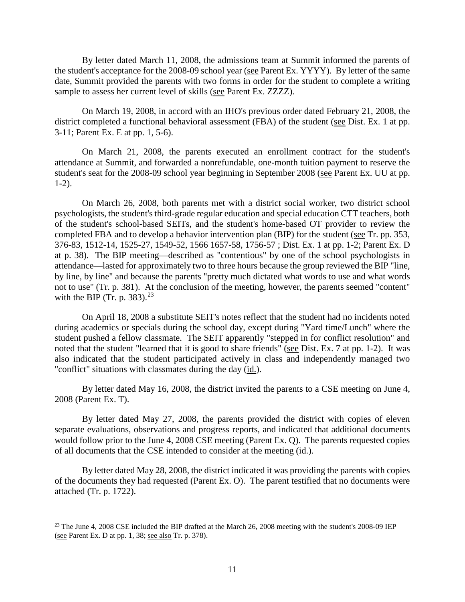By letter dated March 11, 2008, the admissions team at Summit informed the parents of the student's acceptance for the 2008-09 school year (see Parent Ex. YYYY). By letter of the same date, Summit provided the parents with two forms in order for the student to complete a writing sample to assess her current level of skills (see Parent Ex. ZZZZ).

On March 19, 2008, in accord with an IHO's previous order dated February 21, 2008, the district completed a functional behavioral assessment (FBA) of the student (see Dist. Ex. 1 at pp. 3-11; Parent Ex. E at pp. 1, 5-6).

On March 21, 2008, the parents executed an enrollment contract for the student's attendance at Summit, and forwarded a nonrefundable, one-month tuition payment to reserve the student's seat for the 2008-09 school year beginning in September 2008 (see Parent Ex. UU at pp. 1-2).

On March 26, 2008, both parents met with a district social worker, two district school psychologists, the student's third-grade regular education and special education CTT teachers, both of the student's school-based SEITs, and the student's home-based OT provider to review the completed FBA and to develop a behavior intervention plan (BIP) for the student (see Tr. pp. 353, 376-83, 1512-14, 1525-27, 1549-52, 1566 1657-58, 1756-57 ; Dist. Ex. 1 at pp. 1-2; Parent Ex. D at p. 38). The BIP meeting—described as "contentious" by one of the school psychologists in attendance—lasted for approximately two to three hours because the group reviewed the BIP "line, by line, by line" and because the parents "pretty much dictated what words to use and what words not to use" (Tr. p. 381). At the conclusion of the meeting, however, the parents seemed "content" with the BIP (Tr. p. 383). $^{23}$ 

On April 18, 2008 a substitute SEIT's notes reflect that the student had no incidents noted during academics or specials during the school day, except during "Yard time/Lunch" where the student pushed a fellow classmate. The SEIT apparently "stepped in for conflict resolution" and noted that the student "learned that it is good to share friends" (see Dist. Ex. 7 at pp. 1-2). It was also indicated that the student participated actively in class and independently managed two "conflict" situations with classmates during the day (id.).

By letter dated May 16, 2008, the district invited the parents to a CSE meeting on June 4, 2008 (Parent Ex. T).

By letter dated May 27, 2008, the parents provided the district with copies of eleven separate evaluations, observations and progress reports, and indicated that additional documents would follow prior to the June 4, 2008 CSE meeting (Parent Ex. Q). The parents requested copies of all documents that the CSE intended to consider at the meeting (id.).

By letter dated May 28, 2008, the district indicated it was providing the parents with copies of the documents they had requested (Parent Ex. O). The parent testified that no documents were attached (Tr. p. 1722).

<sup>&</sup>lt;sup>23</sup> The June 4, 2008 CSE included the BIP drafted at the March 26, 2008 meeting with the student's 2008-09 IEP (see Parent Ex. D at pp. 1, 38; see also Tr. p. 378).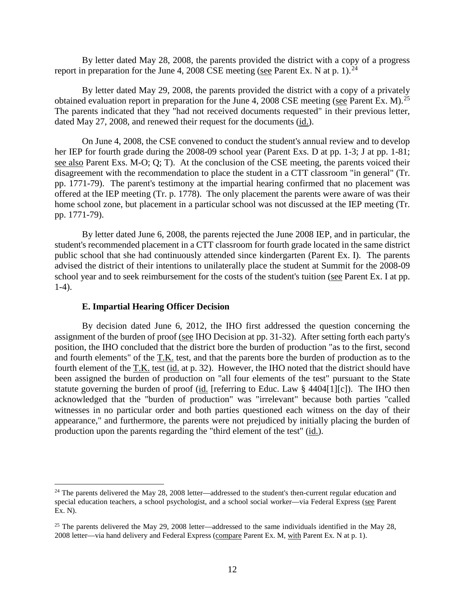By letter dated May 28, 2008, the parents provided the district with a copy of a progress report in preparation for the June 4, 2008 CSE meeting (see Parent Ex. N at p. 1).<sup>24</sup>

By letter dated May 29, 2008, the parents provided the district with a copy of a privately obtained evaluation report in preparation for the June 4, 2008 CSE meeting (see Parent Ex. M).<sup>25</sup> The parents indicated that they "had not received documents requested" in their previous letter, dated May 27, 2008, and renewed their request for the documents (id.).

On June 4, 2008, the CSE convened to conduct the student's annual review and to develop her IEP for fourth grade during the 2008-09 school year (Parent Exs. D at pp. 1-3; J at pp. 1-81; see also Parent Exs. M-O; Q; T). At the conclusion of the CSE meeting, the parents voiced their disagreement with the recommendation to place the student in a CTT classroom "in general" (Tr. pp. 1771-79). The parent's testimony at the impartial hearing confirmed that no placement was offered at the IEP meeting (Tr. p. 1778). The only placement the parents were aware of was their home school zone, but placement in a particular school was not discussed at the IEP meeting (Tr. pp. 1771-79).

By letter dated June 6, 2008, the parents rejected the June 2008 IEP, and in particular, the student's recommended placement in a CTT classroom for fourth grade located in the same district public school that she had continuously attended since kindergarten (Parent Ex. I). The parents advised the district of their intentions to unilaterally place the student at Summit for the 2008-09 school year and to seek reimbursement for the costs of the student's tuition (see Parent Ex. I at pp. 1-4).

#### **E. Impartial Hearing Officer Decision**

By decision dated June 6, 2012, the IHO first addressed the question concerning the assignment of the burden of proof (see IHO Decision at pp. 31-32). After setting forth each party's position, the IHO concluded that the district bore the burden of production "as to the first, second and fourth elements" of the T.K. test, and that the parents bore the burden of production as to the fourth element of the T.K. test (id. at p. 32). However, the IHO noted that the district should have been assigned the burden of production on "all four elements of the test" pursuant to the State statute governing the burden of proof (id. [referring to Educ. Law § 4404[1][c]). The IHO then acknowledged that the "burden of production" was "irrelevant" because both parties "called witnesses in no particular order and both parties questioned each witness on the day of their appearance," and furthermore, the parents were not prejudiced by initially placing the burden of production upon the parents regarding the "third element of the test" (id.).

<sup>&</sup>lt;sup>24</sup> The parents delivered the May 28, 2008 letter—addressed to the student's then-current regular education and special education teachers, a school psychologist, and a school social worker—via Federal Express (see Parent Ex. N).

<sup>&</sup>lt;sup>25</sup> The parents delivered the May 29, 2008 letter—addressed to the same individuals identified in the May 28, 2008 letter—via hand delivery and Federal Express (compare Parent Ex. M, with Parent Ex. N at p. 1).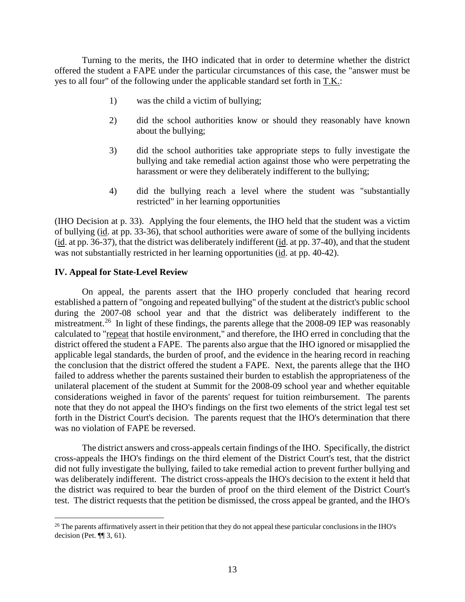Turning to the merits, the IHO indicated that in order to determine whether the district offered the student a FAPE under the particular circumstances of this case, the "answer must be yes to all four" of the following under the applicable standard set forth in T.K.:

- 1) was the child a victim of bullying;
- 2) did the school authorities know or should they reasonably have known about the bullying;
- 3) did the school authorities take appropriate steps to fully investigate the bullying and take remedial action against those who were perpetrating the harassment or were they deliberately indifferent to the bullying;
- 4) did the bullying reach a level where the student was "substantially restricted" in her learning opportunities

(IHO Decision at p. 33). Applying the four elements, the IHO held that the student was a victim of bullying (id. at pp. 33-36), that school authorities were aware of some of the bullying incidents (id. at pp. 36-37), that the district was deliberately indifferent (id. at pp. 37-40), and that the student was not substantially restricted in her learning opportunities (id. at pp. 40-42).

## **IV. Appeal for State-Level Review**

On appeal, the parents assert that the IHO properly concluded that hearing record established a pattern of "ongoing and repeated bullying" of the student at the district's public school during the 2007-08 school year and that the district was deliberately indifferent to the mistreatment.<sup>26</sup> In light of these findings, the parents allege that the 2008-09 IEP was reasonably calculated to "repeat that hostile environment," and therefore, the IHO erred in concluding that the district offered the student a FAPE. The parents also argue that the IHO ignored or misapplied the applicable legal standards, the burden of proof, and the evidence in the hearing record in reaching the conclusion that the district offered the student a FAPE. Next, the parents allege that the IHO failed to address whether the parents sustained their burden to establish the appropriateness of the unilateral placement of the student at Summit for the 2008-09 school year and whether equitable considerations weighed in favor of the parents' request for tuition reimbursement. The parents note that they do not appeal the IHO's findings on the first two elements of the strict legal test set forth in the District Court's decision. The parents request that the IHO's determination that there was no violation of FAPE be reversed.

The district answers and cross-appeals certain findings of the IHO. Specifically, the district cross-appeals the IHO's findings on the third element of the District Court's test, that the district did not fully investigate the bullying, failed to take remedial action to prevent further bullying and was deliberately indifferent. The district cross-appeals the IHO's decision to the extent it held that the district was required to bear the burden of proof on the third element of the District Court's test. The district requests that the petition be dismissed, the cross appeal be granted, and the IHO's

<sup>&</sup>lt;sup>26</sup> The parents affirmatively assert in their petition that they do not appeal these particular conclusions in the IHO's decision (Pet.  $\P$  $[$  3, 61).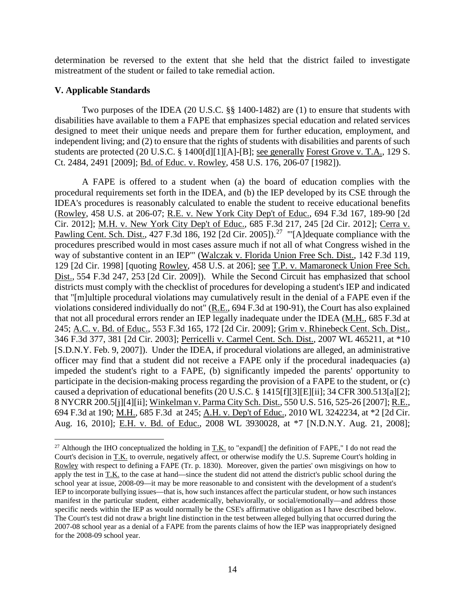determination be reversed to the extent that she held that the district failed to investigate mistreatment of the student or failed to take remedial action.

# **V. Applicable Standards**

Two purposes of the IDEA (20 U.S.C. §§ 1400-1482) are (1) to ensure that students with disabilities have available to them a FAPE that emphasizes special education and related services designed to meet their unique needs and prepare them for further education, employment, and independent living; and (2) to ensure that the rights of students with disabilities and parents of such students are protected (20 U.S.C. § 1400[d][1][A]-[B]; see generally Forest Grove v. T.A., 129 S. Ct. 2484, 2491 [2009]; Bd. of Educ. v. Rowley, 458 U.S. 176, 206-07 [1982]).

A FAPE is offered to a student when (a) the board of education complies with the procedural requirements set forth in the IDEA, and (b) the IEP developed by its CSE through the IDEA's procedures is reasonably calculated to enable the student to receive educational benefits (Rowley, 458 U.S. at 206-07; R.E. v. New York City Dep't of Educ., 694 F.3d 167, 189-90 [2d Cir. 2012]; M.H. v. New York City Dep't of Educ., 685 F.3d 217, 245 [2d Cir. 2012]; Cerra v. Pawling Cent. Sch. Dist., 427 F.3d 186, 192 [2d Cir. 2005]).<sup>27</sup> "'[A]dequate compliance with the procedures prescribed would in most cases assure much if not all of what Congress wished in the way of substantive content in an IEP'" (Walczak v. Florida Union Free Sch. Dist., 142 F.3d 119, 129 [2d Cir. 1998] [quoting Rowley, 458 U.S. at 206]; see T.P. v. Mamaroneck Union Free Sch. Dist., 554 F.3d 247, 253 [2d Cir. 2009]). While the Second Circuit has emphasized that school districts must comply with the checklist of procedures for developing a student's IEP and indicated that "[m]ultiple procedural violations may cumulatively result in the denial of a FAPE even if the violations considered individually do not" (R.E., 694 F.3d at 190-91), the Court has also explained that not all procedural errors render an IEP legally inadequate under the IDEA (M.H., 685 F.3d at 245; A.C. v. Bd. of Educ., 553 F.3d 165, 172 [2d Cir. 2009]; Grim v. Rhinebeck Cent. Sch. Dist., 346 F.3d 377, 381 [2d Cir. 2003]; Perricelli v. Carmel Cent. Sch. Dist., 2007 WL 465211, at \*10 [S.D.N.Y. Feb. 9, 2007]). Under the IDEA, if procedural violations are alleged, an administrative officer may find that a student did not receive a FAPE only if the procedural inadequacies (a) impeded the student's right to a FAPE, (b) significantly impeded the parents' opportunity to participate in the decision-making process regarding the provision of a FAPE to the student, or (c) caused a deprivation of educational benefits (20 U.S.C. § 1415[f][3][E][ii]; 34 CFR 300.513[a][2]; 8 NYCRR 200.5[j][4][ii]; Winkelman v. Parma City Sch. Dist., 550 U.S. 516, 525-26 [2007]; R.E., 694 F.3d at 190; M.H., 685 F.3d at 245; A.H. v. Dep't of Educ., 2010 WL 3242234, at \*2 [2d Cir. Aug. 16, 2010]; E.H. v. Bd. of Educ., 2008 WL 3930028, at \*7 [N.D.N.Y. Aug. 21, 2008];

<sup>&</sup>lt;sup>27</sup> Although the IHO conceptualized the holding in T.K. to "expand[] the definition of FAPE," I do not read the Court's decision in T.K. to overrule, negatively affect, or otherwise modify the U.S. Supreme Court's holding in Rowley with respect to defining a FAPE (Tr. p. 1830). Moreover, given the parties' own misgivings on how to apply the test in  $T.K.$  to the case at hand—since the student did not attend the district's public school during the school year at issue, 2008-09—it may be more reasonable to and consistent with the development of a student's IEP to incorporate bullying issues—that is, how such instances affect the particular student, or how such instances manifest in the particular student, either academically, behaviorally, or social/emotionally—and address those specific needs within the IEP as would normally be the CSE's affirmative obligation as I have described below. The Court's test did not draw a bright line distinction in the test between alleged bullying that occurred during the 2007-08 school year as a denial of a FAPE from the parents claims of how the IEP was inappropriately designed for the 2008-09 school year.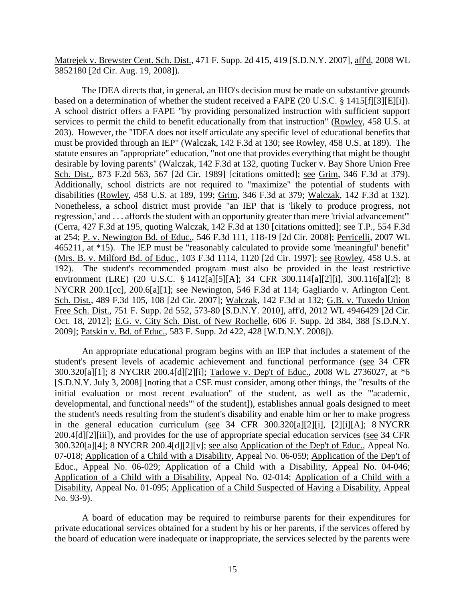Matrejek v. Brewster Cent. Sch. Dist., 471 F. Supp. 2d 415, 419 [S.D.N.Y. 2007], aff'd, 2008 WL 3852180 [2d Cir. Aug. 19, 2008]).

The IDEA directs that, in general, an IHO's decision must be made on substantive grounds based on a determination of whether the student received a FAPE (20 U.S.C. § 1415[f][3][E][i]). A school district offers a FAPE "by providing personalized instruction with sufficient support services to permit the child to benefit educationally from that instruction" (Rowley, 458 U.S. at 203). However, the "IDEA does not itself articulate any specific level of educational benefits that must be provided through an IEP" (Walczak, 142 F.3d at 130; see Rowley, 458 U.S. at 189). The statute ensures an "appropriate" education, "not one that provides everything that might be thought desirable by loving parents" (Walczak, 142 F.3d at 132, quoting Tucker v. Bay Shore Union Free Sch. Dist., 873 F.2d 563, 567 [2d Cir. 1989] [citations omitted]; see Grim, 346 F.3d at 379). Additionally, school districts are not required to "maximize" the potential of students with disabilities (Rowley, 458 U.S. at 189, 199; Grim, 346 F.3d at 379; Walczak, 142 F.3d at 132). Nonetheless, a school district must provide "an IEP that is 'likely to produce progress, not regression,' and . . . affords the student with an opportunity greater than mere 'trivial advancement'" (Cerra, 427 F.3d at 195, quoting Walczak, 142 F.3d at 130 [citations omitted]; see T.P., 554 F.3d at 254; P. v. Newington Bd. of Educ., 546 F.3d 111, 118-19 [2d Cir. 2008]; Perricelli, 2007 WL 465211, at \*15). The IEP must be "reasonably calculated to provide some 'meaningful' benefit" (Mrs. B. v. Milford Bd. of Educ., 103 F.3d 1114, 1120 [2d Cir. 1997]; see Rowley, 458 U.S. at 192). The student's recommended program must also be provided in the least restrictive environment (LRE) (20 U.S.C. § 1412[a][5][A]; 34 CFR 300.114[a][2][i], 300.116[a][2]; 8 NYCRR 200.1[cc], 200.6[a][1]; see Newington, 546 F.3d at 114; Gagliardo v. Arlington Cent. Sch. Dist., 489 F.3d 105, 108 [2d Cir. 2007]; Walczak, 142 F.3d at 132; G.B. v. Tuxedo Union Free Sch. Dist., 751 F. Supp. 2d 552, 573-80 [S.D.N.Y. 2010], aff'd, 2012 WL 4946429 [2d Cir. Oct. 18, 2012]; E.G. v. City Sch. Dist. of New Rochelle, 606 F. Supp. 2d 384, 388 [S.D.N.Y. 2009]; Patskin v. Bd. of Educ., 583 F. Supp. 2d 422, 428 [W.D.N.Y. 2008]).

An appropriate educational program begins with an IEP that includes a statement of the student's present levels of academic achievement and functional performance (see 34 CFR 300.320[a][1]; 8 NYCRR 200.4[d][2][i]; Tarlowe v. Dep't of Educ., 2008 WL 2736027, at \*6 [S.D.N.Y. July 3, 2008] [noting that a CSE must consider, among other things, the "results of the initial evaluation or most recent evaluation" of the student, as well as the "'academic, developmental, and functional needs'" of the student]), establishes annual goals designed to meet the student's needs resulting from the student's disability and enable him or her to make progress in the general education curriculum (see 34 CFR 300.320[a][2][i], [2][i][A]; 8 NYCRR 200.4[d][2][iii]), and provides for the use of appropriate special education services (see 34 CFR 300.320[a][4]; 8 NYCRR 200.4[d][2][v]; see also Application of the Dep't of Educ., Appeal No. 07-018; Application of a Child with a Disability, Appeal No. 06-059; Application of the Dep't of Educ., Appeal No. 06-029; Application of a Child with a Disability, Appeal No. 04-046; Application of a Child with a Disability, Appeal No. 02-014; Application of a Child with a Disability, Appeal No. 01-095; Application of a Child Suspected of Having a Disability, Appeal No. 93-9).

A board of education may be required to reimburse parents for their expenditures for private educational services obtained for a student by his or her parents, if the services offered by the board of education were inadequate or inappropriate, the services selected by the parents were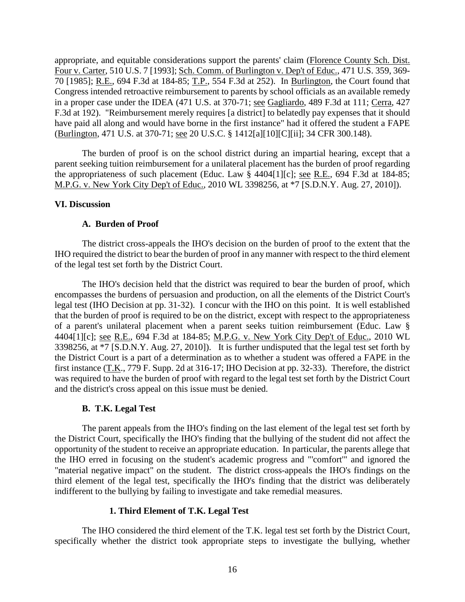appropriate, and equitable considerations support the parents' claim (Florence County Sch. Dist. Four v. Carter, 510 U.S. 7 [1993]; Sch. Comm. of Burlington v. Dep't of Educ., 471 U.S. 359, 369- 70 [1985]; R.E., 694 F.3d at 184-85; T.P., 554 F.3d at 252). In Burlington, the Court found that Congress intended retroactive reimbursement to parents by school officials as an available remedy in a proper case under the IDEA (471 U.S. at 370-71; see Gagliardo, 489 F.3d at 111; Cerra, 427 F.3d at 192). "Reimbursement merely requires [a district] to belatedly pay expenses that it should have paid all along and would have borne in the first instance" had it offered the student a FAPE (Burlington, 471 U.S. at 370-71; see 20 U.S.C. § 1412[a][10][C][ii]; 34 CFR 300.148).

The burden of proof is on the school district during an impartial hearing, except that a parent seeking tuition reimbursement for a unilateral placement has the burden of proof regarding the appropriateness of such placement (Educ. Law § 4404[1][c]; see R.E., 694 F.3d at 184-85; M.P.G. v. New York City Dep't of Educ., 2010 WL 3398256, at \*7 [S.D.N.Y. Aug. 27, 2010]).

# **VI. Discussion**

# **A. Burden of Proof**

The district cross-appeals the IHO's decision on the burden of proof to the extent that the IHO required the district to bear the burden of proof in any manner with respect to the third element of the legal test set forth by the District Court.

The IHO's decision held that the district was required to bear the burden of proof, which encompasses the burdens of persuasion and production, on all the elements of the District Court's legal test (IHO Decision at pp. 31-32). I concur with the IHO on this point. It is well established that the burden of proof is required to be on the district, except with respect to the appropriateness of a parent's unilateral placement when a parent seeks tuition reimbursement (Educ. Law § 4404[1][c]; see R.E., 694 F.3d at 184-85; M.P.G. v. New York City Dep't of Educ., 2010 WL 3398256, at \*7 [S.D.N.Y. Aug. 27, 2010]). It is further undisputed that the legal test set forth by the District Court is a part of a determination as to whether a student was offered a FAPE in the first instance (T.K., 779 F. Supp. 2d at 316-17; IHO Decision at pp. 32-33). Therefore, the district was required to have the burden of proof with regard to the legal test set forth by the District Court and the district's cross appeal on this issue must be denied.

# **B. T.K. Legal Test**

The parent appeals from the IHO's finding on the last element of the legal test set forth by the District Court, specifically the IHO's finding that the bullying of the student did not affect the opportunity of the student to receive an appropriate education. In particular, the parents allege that the IHO erred in focusing on the student's academic progress and "'comfort'" and ignored the "material negative impact" on the student. The district cross-appeals the IHO's findings on the third element of the legal test, specifically the IHO's finding that the district was deliberately indifferent to the bullying by failing to investigate and take remedial measures.

# **1. Third Element of T.K. Legal Test**

The IHO considered the third element of the T.K. legal test set forth by the District Court, specifically whether the district took appropriate steps to investigate the bullying, whether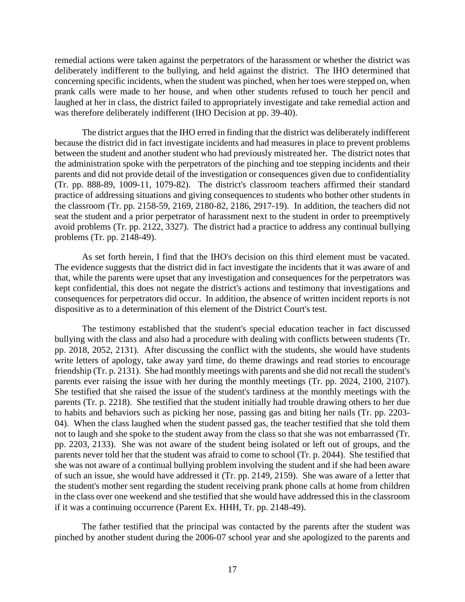remedial actions were taken against the perpetrators of the harassment or whether the district was deliberately indifferent to the bullying, and held against the district. The IHO determined that concerning specific incidents, when the student was pinched, when her toes were stepped on, when prank calls were made to her house, and when other students refused to touch her pencil and laughed at her in class, the district failed to appropriately investigate and take remedial action and was therefore deliberately indifferent (IHO Decision at pp. 39-40).

The district argues that the IHO erred in finding that the district was deliberately indifferent because the district did in fact investigate incidents and had measures in place to prevent problems between the student and another student who had previously mistreated her. The district notes that the administration spoke with the perpetrators of the pinching and toe stepping incidents and their parents and did not provide detail of the investigation or consequences given due to confidentiality (Tr. pp. 888-89, 1009-11, 1079-82). The district's classroom teachers affirmed their standard practice of addressing situations and giving consequences to students who bother other students in the classroom (Tr. pp. 2158-59, 2169, 2180-82, 2186, 2917-19). In addition, the teachers did not seat the student and a prior perpetrator of harassment next to the student in order to preemptively avoid problems (Tr. pp. 2122, 3327). The district had a practice to address any continual bullying problems (Tr. pp. 2148-49).

As set forth herein, I find that the IHO's decision on this third element must be vacated. The evidence suggests that the district did in fact investigate the incidents that it was aware of and that, while the parents were upset that any investigation and consequences for the perpetrators was kept confidential, this does not negate the district's actions and testimony that investigations and consequences for perpetrators did occur. In addition, the absence of written incident reports is not dispositive as to a determination of this element of the District Court's test.

The testimony established that the student's special education teacher in fact discussed bullying with the class and also had a procedure with dealing with conflicts between students (Tr. pp. 2018, 2052, 2131). After discussing the conflict with the students, she would have students write letters of apology, take away yard time, do theme drawings and read stories to encourage friendship (Tr. p. 2131). She had monthly meetings with parents and she did not recall the student's parents ever raising the issue with her during the monthly meetings (Tr. pp. 2024, 2100, 2107). She testified that she raised the issue of the student's tardiness at the monthly meetings with the parents (Tr. p. 2218). She testified that the student initially had trouble drawing others to her due to habits and behaviors such as picking her nose, passing gas and biting her nails (Tr. pp. 2203- 04). When the class laughed when the student passed gas, the teacher testified that she told them not to laugh and she spoke to the student away from the class so that she was not embarrassed (Tr. pp. 2203, 2133). She was not aware of the student being isolated or left out of groups, and the parents never told her that the student was afraid to come to school (Tr. p. 2044). She testified that she was not aware of a continual bullying problem involving the student and if she had been aware of such an issue, she would have addressed it (Tr. pp. 2149, 2159). She was aware of a letter that the student's mother sent regarding the student receiving prank phone calls at home from children in the class over one weekend and she testified that she would have addressed this in the classroom if it was a continuing occurrence (Parent Ex. HHH, Tr. pp. 2148-49).

The father testified that the principal was contacted by the parents after the student was pinched by another student during the 2006-07 school year and she apologized to the parents and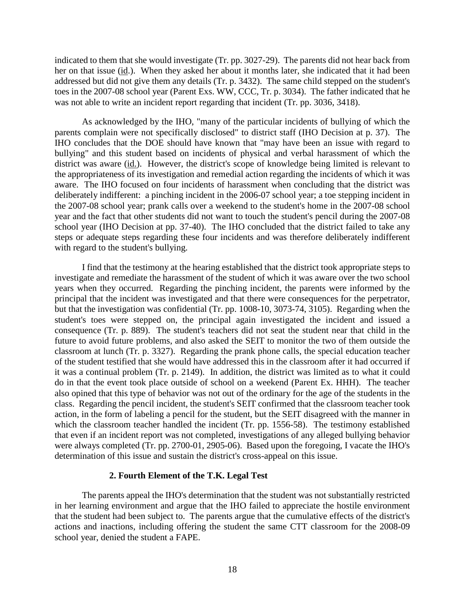indicated to them that she would investigate (Tr. pp. 3027-29). The parents did not hear back from her on that issue (id.). When they asked her about it months later, she indicated that it had been addressed but did not give them any details (Tr. p. 3432). The same child stepped on the student's toes in the 2007-08 school year (Parent Exs. WW, CCC, Tr. p. 3034). The father indicated that he was not able to write an incident report regarding that incident (Tr. pp. 3036, 3418).

As acknowledged by the IHO, "many of the particular incidents of bullying of which the parents complain were not specifically disclosed" to district staff (IHO Decision at p. 37). The IHO concludes that the DOE should have known that "may have been an issue with regard to bullying" and this student based on incidents of physical and verbal harassment of which the district was aware (id.). However, the district's scope of knowledge being limited is relevant to the appropriateness of its investigation and remedial action regarding the incidents of which it was aware. The IHO focused on four incidents of harassment when concluding that the district was deliberately indifferent: a pinching incident in the 2006-07 school year; a toe stepping incident in the 2007-08 school year; prank calls over a weekend to the student's home in the 2007-08 school year and the fact that other students did not want to touch the student's pencil during the 2007-08 school year (IHO Decision at pp. 37-40). The IHO concluded that the district failed to take any steps or adequate steps regarding these four incidents and was therefore deliberately indifferent with regard to the student's bullying.

I find that the testimony at the hearing established that the district took appropriate steps to investigate and remediate the harassment of the student of which it was aware over the two school years when they occurred. Regarding the pinching incident, the parents were informed by the principal that the incident was investigated and that there were consequences for the perpetrator, but that the investigation was confidential (Tr. pp. 1008-10, 3073-74, 3105). Regarding when the student's toes were stepped on, the principal again investigated the incident and issued a consequence (Tr. p. 889). The student's teachers did not seat the student near that child in the future to avoid future problems, and also asked the SEIT to monitor the two of them outside the classroom at lunch (Tr. p. 3327). Regarding the prank phone calls, the special education teacher of the student testified that she would have addressed this in the classroom after it had occurred if it was a continual problem (Tr. p. 2149). In addition, the district was limited as to what it could do in that the event took place outside of school on a weekend (Parent Ex. HHH). The teacher also opined that this type of behavior was not out of the ordinary for the age of the students in the class. Regarding the pencil incident, the student's SEIT confirmed that the classroom teacher took action, in the form of labeling a pencil for the student, but the SEIT disagreed with the manner in which the classroom teacher handled the incident (Tr. pp. 1556-58). The testimony established that even if an incident report was not completed, investigations of any alleged bullying behavior were always completed (Tr. pp. 2700-01, 2905-06). Based upon the foregoing, I vacate the IHO's determination of this issue and sustain the district's cross-appeal on this issue.

# **2. Fourth Element of the T.K. Legal Test**

The parents appeal the IHO's determination that the student was not substantially restricted in her learning environment and argue that the IHO failed to appreciate the hostile environment that the student had been subject to. The parents argue that the cumulative effects of the district's actions and inactions, including offering the student the same CTT classroom for the 2008-09 school year, denied the student a FAPE.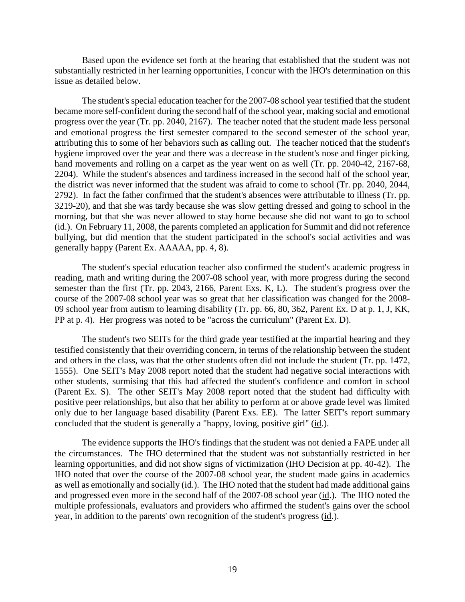Based upon the evidence set forth at the hearing that established that the student was not substantially restricted in her learning opportunities, I concur with the IHO's determination on this issue as detailed below.

The student's special education teacher for the 2007-08 school year testified that the student became more self-confident during the second half of the school year, making social and emotional progress over the year (Tr. pp. 2040, 2167). The teacher noted that the student made less personal and emotional progress the first semester compared to the second semester of the school year, attributing this to some of her behaviors such as calling out. The teacher noticed that the student's hygiene improved over the year and there was a decrease in the student's nose and finger picking, hand movements and rolling on a carpet as the year went on as well (Tr. pp. 2040-42, 2167-68, 2204). While the student's absences and tardiness increased in the second half of the school year, the district was never informed that the student was afraid to come to school (Tr. pp. 2040, 2044, 2792). In fact the father confirmed that the student's absences were attributable to illness (Tr. pp. 3219-20), and that she was tardy because she was slow getting dressed and going to school in the morning, but that she was never allowed to stay home because she did not want to go to school (id.). On February 11, 2008, the parents completed an application for Summit and did not reference bullying, but did mention that the student participated in the school's social activities and was generally happy (Parent Ex. AAAAA, pp. 4, 8).

The student's special education teacher also confirmed the student's academic progress in reading, math and writing during the 2007-08 school year, with more progress during the second semester than the first (Tr. pp. 2043, 2166, Parent Exs. K, L). The student's progress over the course of the 2007-08 school year was so great that her classification was changed for the 2008- 09 school year from autism to learning disability (Tr. pp. 66, 80, 362, Parent Ex. D at p. 1, J, KK, PP at p. 4). Her progress was noted to be "across the curriculum" (Parent Ex. D).

The student's two SEITs for the third grade year testified at the impartial hearing and they testified consistently that their overriding concern, in terms of the relationship between the student and others in the class, was that the other students often did not include the student (Tr. pp. 1472, 1555). One SEIT's May 2008 report noted that the student had negative social interactions with other students, surmising that this had affected the student's confidence and comfort in school (Parent Ex. S). The other SEIT's May 2008 report noted that the student had difficulty with positive peer relationships, but also that her ability to perform at or above grade level was limited only due to her language based disability (Parent Exs. EE). The latter SEIT's report summary concluded that the student is generally a "happy, loving, positive girl" (id.).

The evidence supports the IHO's findings that the student was not denied a FAPE under all the circumstances. The IHO determined that the student was not substantially restricted in her learning opportunities, and did not show signs of victimization (IHO Decision at pp. 40-42). The IHO noted that over the course of the 2007-08 school year, the student made gains in academics as well as emotionally and socially (id.). The IHO noted that the student had made additional gains and progressed even more in the second half of the 2007-08 school year (id.). The IHO noted the multiple professionals, evaluators and providers who affirmed the student's gains over the school year, in addition to the parents' own recognition of the student's progress (id.).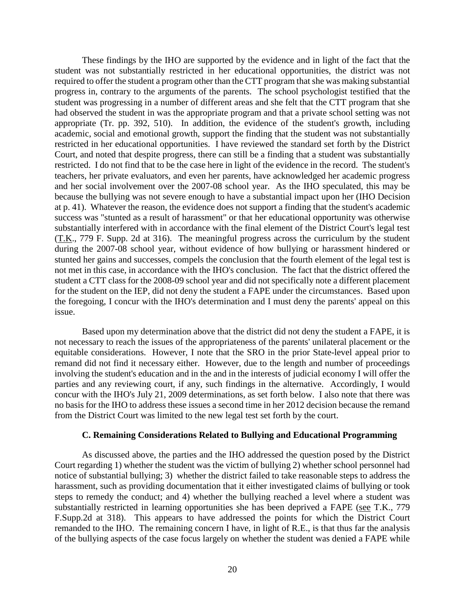These findings by the IHO are supported by the evidence and in light of the fact that the student was not substantially restricted in her educational opportunities, the district was not required to offer the student a program other than the CTT program that she was making substantial progress in, contrary to the arguments of the parents. The school psychologist testified that the student was progressing in a number of different areas and she felt that the CTT program that she had observed the student in was the appropriate program and that a private school setting was not appropriate (Tr. pp. 392, 510). In addition, the evidence of the student's growth, including academic, social and emotional growth, support the finding that the student was not substantially restricted in her educational opportunities. I have reviewed the standard set forth by the District Court, and noted that despite progress, there can still be a finding that a student was substantially restricted. I do not find that to be the case here in light of the evidence in the record. The student's teachers, her private evaluators, and even her parents, have acknowledged her academic progress and her social involvement over the 2007-08 school year. As the IHO speculated, this may be because the bullying was not severe enough to have a substantial impact upon her (IHO Decision at p. 41). Whatever the reason, the evidence does not support a finding that the student's academic success was "stunted as a result of harassment" or that her educational opportunity was otherwise substantially interfered with in accordance with the final element of the District Court's legal test (T.K., 779 F. Supp. 2d at 316). The meaningful progress across the curriculum by the student during the 2007-08 school year, without evidence of how bullying or harassment hindered or stunted her gains and successes, compels the conclusion that the fourth element of the legal test is not met in this case, in accordance with the IHO's conclusion. The fact that the district offered the student a CTT class for the 2008-09 school year and did not specifically note a different placement for the student on the IEP, did not deny the student a FAPE under the circumstances. Based upon the foregoing, I concur with the IHO's determination and I must deny the parents' appeal on this issue.

Based upon my determination above that the district did not deny the student a FAPE, it is not necessary to reach the issues of the appropriateness of the parents' unilateral placement or the equitable considerations. However, I note that the SRO in the prior State-level appeal prior to remand did not find it necessary either. However, due to the length and number of proceedings involving the student's education and in the and in the interests of judicial economy I will offer the parties and any reviewing court, if any, such findings in the alternative. Accordingly, I would concur with the IHO's July 21, 2009 determinations, as set forth below. I also note that there was no basis for the IHO to address these issues a second time in her 2012 decision because the remand from the District Court was limited to the new legal test set forth by the court.

## **C. Remaining Considerations Related to Bullying and Educational Programming**

As discussed above, the parties and the IHO addressed the question posed by the District Court regarding 1) whether the student was the victim of bullying 2) whether school personnel had notice of substantial bullying; 3) whether the district failed to take reasonable steps to address the harassment, such as providing documentation that it either investigated claims of bullying or took steps to remedy the conduct; and 4) whether the bullying reached a level where a student was substantially restricted in learning opportunities she has been deprived a FAPE (see T.K., 779 F.Supp.2d at 318). This appears to have addressed the points for which the District Court remanded to the IHO. The remaining concern I have, in light of R.E., is that thus far the analysis of the bullying aspects of the case focus largely on whether the student was denied a FAPE while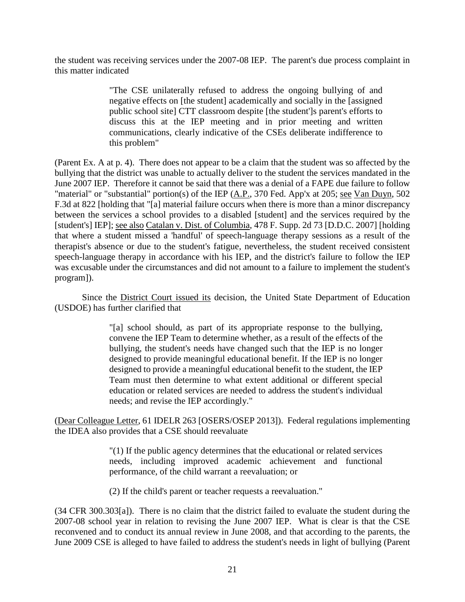the student was receiving services under the 2007-08 IEP. The parent's due process complaint in this matter indicated

> "The CSE unilaterally refused to address the ongoing bullying of and negative effects on [the student] academically and socially in the [assigned public school site] CTT classroom despite [the student']s parent's efforts to discuss this at the IEP meeting and in prior meeting and written communications, clearly indicative of the CSEs deliberate indifference to this problem"

(Parent Ex. A at p. 4). There does not appear to be a claim that the student was so affected by the bullying that the district was unable to actually deliver to the student the services mandated in the June 2007 IEP. Therefore it cannot be said that there was a denial of a FAPE due failure to follow "material" or "substantial" portion(s) of the IEP (A.P., 370 Fed. App'x at 205; see Van Duyn, 502 F.3d at 822 [holding that "[a] material failure occurs when there is more than a minor discrepancy between the services a school provides to a disabled [student] and the services required by the [student's] IEP]; see also Catalan v. Dist. of Columbia, 478 F. Supp. 2d 73 [D.D.C. 2007] [holding that where a student missed a 'handful' of speech-language therapy sessions as a result of the therapist's absence or due to the student's fatigue, nevertheless, the student received consistent speech-language therapy in accordance with his IEP, and the district's failure to follow the IEP was excusable under the circumstances and did not amount to a failure to implement the student's program]).

Since the District Court issued its decision, the United State Department of Education (USDOE) has further clarified that

> "[a] school should, as part of its appropriate response to the bullying, convene the IEP Team to determine whether, as a result of the effects of the bullying, the student's needs have changed such that the IEP is no longer designed to provide meaningful educational benefit. If the IEP is no longer designed to provide a meaningful educational benefit to the student, the IEP Team must then determine to what extent additional or different special education or related services are needed to address the student's individual needs; and revise the IEP accordingly."

(Dear Colleague Letter, 61 IDELR 263 [OSERS/OSEP 2013]). Federal regulations implementing the IDEA also provides that a CSE should reevaluate

> "(1) If the public agency determines that the educational or related services needs, including improved academic achievement and functional performance, of the child warrant a reevaluation; or

(2) If the child's parent or teacher requests a reevaluation."

(34 CFR 300.303[a]). There is no claim that the district failed to evaluate the student during the 2007-08 school year in relation to revising the June 2007 IEP. What is clear is that the CSE reconvened and to conduct its annual review in June 2008, and that according to the parents, the June 2009 CSE is alleged to have failed to address the student's needs in light of bullying (Parent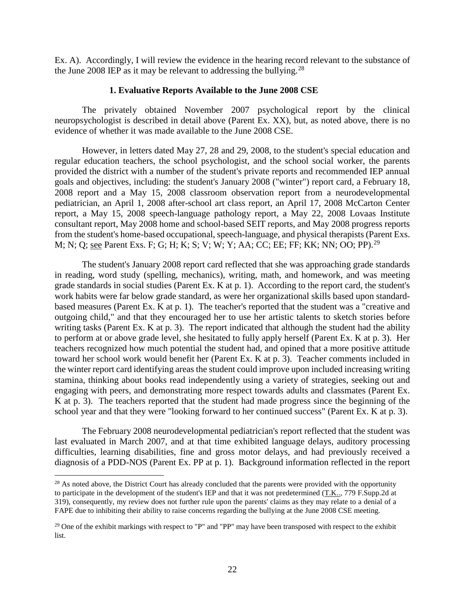Ex. A). Accordingly, I will review the evidence in the hearing record relevant to the substance of the June 2008 IEP as it may be relevant to addressing the bullying.<sup>28</sup>

## **1. Evaluative Reports Available to the June 2008 CSE**

The privately obtained November 2007 psychological report by the clinical neuropsychologist is described in detail above (Parent Ex. XX), but, as noted above, there is no evidence of whether it was made available to the June 2008 CSE.

However, in letters dated May 27, 28 and 29, 2008, to the student's special education and regular education teachers, the school psychologist, and the school social worker, the parents provided the district with a number of the student's private reports and recommended IEP annual goals and objectives, including: the student's January 2008 ("winter") report card, a February 18, 2008 report and a May 15, 2008 classroom observation report from a neurodevelopmental pediatrician, an April 1, 2008 after-school art class report, an April 17, 2008 McCarton Center report, a May 15, 2008 speech-language pathology report, a May 22, 2008 Lovaas Institute consultant report, May 2008 home and school-based SEIT reports, and May 2008 progress reports from the student's home-based occupational, speech-language, and physical therapists (Parent Exs. M; N; Q; see Parent Exs. F; G; H; K; S; V; W; Y; AA; CC; EE; FF; KK; NN; OO; PP).<sup>29</sup>

The student's January 2008 report card reflected that she was approaching grade standards in reading, word study (spelling, mechanics), writing, math, and homework, and was meeting grade standards in social studies (Parent Ex. K at p. 1). According to the report card, the student's work habits were far below grade standard, as were her organizational skills based upon standardbased measures (Parent Ex. K at p. 1). The teacher's reported that the student was a "creative and outgoing child," and that they encouraged her to use her artistic talents to sketch stories before writing tasks (Parent Ex. K at p. 3). The report indicated that although the student had the ability to perform at or above grade level, she hesitated to fully apply herself (Parent Ex. K at p. 3). Her teachers recognized how much potential the student had, and opined that a more positive attitude toward her school work would benefit her (Parent Ex. K at p. 3). Teacher comments included in the winter report card identifying areas the student could improve upon included increasing writing stamina, thinking about books read independently using a variety of strategies, seeking out and engaging with peers, and demonstrating more respect towards adults and classmates (Parent Ex. K at p. 3). The teachers reported that the student had made progress since the beginning of the school year and that they were "looking forward to her continued success" (Parent Ex. K at p. 3).

The February 2008 neurodevelopmental pediatrician's report reflected that the student was last evaluated in March 2007, and at that time exhibited language delays, auditory processing difficulties, learning disabilities, fine and gross motor delays, and had previously received a diagnosis of a PDD-NOS (Parent Ex. PP at p. 1). Background information reflected in the report

<sup>&</sup>lt;sup>28</sup> As noted above, the District Court has already concluded that the parents were provided with the opportunity to participate in the development of the student's IEP and that it was not predetermined (T.K.., 779 F.Supp.2d at 319), consequently, my review does not further rule upon the parents' claims as they may relate to a denial of a FAPE due to inhibiting their ability to raise concerns regarding the bullying at the June 2008 CSE meeting.

<sup>&</sup>lt;sup>29</sup> One of the exhibit markings with respect to "P" and "PP" may have been transposed with respect to the exhibit list.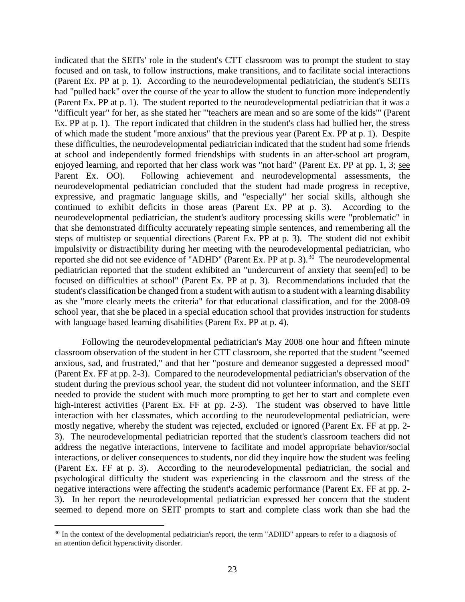indicated that the SEITs' role in the student's CTT classroom was to prompt the student to stay focused and on task, to follow instructions, make transitions, and to facilitate social interactions (Parent Ex. PP at p. 1). According to the neurodevelopmental pediatrician, the student's SEITs had "pulled back" over the course of the year to allow the student to function more independently (Parent Ex. PP at p. 1). The student reported to the neurodevelopmental pediatrician that it was a "difficult year" for her, as she stated her '"teachers are mean and so are some of the kids"' (Parent Ex. PP at p. 1). The report indicated that children in the student's class had bullied her, the stress of which made the student "more anxious" that the previous year (Parent Ex. PP at p. 1). Despite these difficulties, the neurodevelopmental pediatrician indicated that the student had some friends at school and independently formed friendships with students in an after-school art program, enjoyed learning, and reported that her class work was "not hard" (Parent Ex. PP at pp. 1, 3; see Parent Ex. OO). Following achievement and neurodevelopmental assessments, the neurodevelopmental pediatrician concluded that the student had made progress in receptive, expressive, and pragmatic language skills, and "especially" her social skills, although she continued to exhibit deficits in those areas (Parent Ex. PP at p. 3). According to the neurodevelopmental pediatrician, the student's auditory processing skills were "problematic" in that she demonstrated difficulty accurately repeating simple sentences, and remembering all the steps of multistep or sequential directions (Parent Ex. PP at p. 3). The student did not exhibit impulsivity or distractibility during her meeting with the neurodevelopmental pediatrician, who reported she did not see evidence of "ADHD" (Parent Ex. PP at p. 3).<sup>30</sup> The neurodevelopmental pediatrician reported that the student exhibited an "undercurrent of anxiety that seem[ed] to be focused on difficulties at school" (Parent Ex. PP at p. 3). Recommendations included that the student's classification be changed from a student with autism to a student with a learning disability as she "more clearly meets the criteria" for that educational classification, and for the 2008-09 school year, that she be placed in a special education school that provides instruction for students with language based learning disabilities (Parent Ex. PP at p. 4).

Following the neurodevelopmental pediatrician's May 2008 one hour and fifteen minute classroom observation of the student in her CTT classroom, she reported that the student "seemed anxious, sad, and frustrated," and that her "posture and demeanor suggested a depressed mood" (Parent Ex. FF at pp. 2-3). Compared to the neurodevelopmental pediatrician's observation of the student during the previous school year, the student did not volunteer information, and the SEIT needed to provide the student with much more prompting to get her to start and complete even high-interest activities (Parent Ex. FF at pp. 2-3). The student was observed to have little interaction with her classmates, which according to the neurodevelopmental pediatrician, were mostly negative, whereby the student was rejected, excluded or ignored (Parent Ex. FF at pp. 2- 3). The neurodevelopmental pediatrician reported that the student's classroom teachers did not address the negative interactions, intervene to facilitate and model appropriate behavior/social interactions, or deliver consequences to students, nor did they inquire how the student was feeling (Parent Ex. FF at p. 3). According to the neurodevelopmental pediatrician, the social and psychological difficulty the student was experiencing in the classroom and the stress of the negative interactions were affecting the student's academic performance (Parent Ex. FF at pp. 2- 3). In her report the neurodevelopmental pediatrician expressed her concern that the student seemed to depend more on SEIT prompts to start and complete class work than she had the

<sup>&</sup>lt;sup>30</sup> In the context of the developmental pediatrician's report, the term "ADHD" appears to refer to a diagnosis of an attention deficit hyperactivity disorder.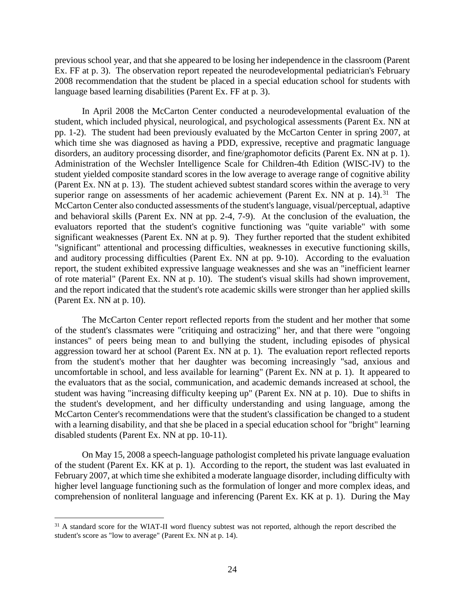previous school year, and that she appeared to be losing her independence in the classroom (Parent Ex. FF at p. 3). The observation report repeated the neurodevelopmental pediatrician's February 2008 recommendation that the student be placed in a special education school for students with language based learning disabilities (Parent Ex. FF at p. 3).

In April 2008 the McCarton Center conducted a neurodevelopmental evaluation of the student, which included physical, neurological, and psychological assessments (Parent Ex. NN at pp. 1-2). The student had been previously evaluated by the McCarton Center in spring 2007, at which time she was diagnosed as having a PDD, expressive, receptive and pragmatic language disorders, an auditory processing disorder, and fine/graphomotor deficits (Parent Ex. NN at p. 1). Administration of the Wechsler Intelligence Scale for Children-4th Edition (WISC-IV) to the student yielded composite standard scores in the low average to average range of cognitive ability (Parent Ex. NN at p. 13). The student achieved subtest standard scores within the average to very superior range on assessments of her academic achievement (Parent Ex. NN at p. 14).<sup>31</sup> The McCarton Center also conducted assessments of the student's language, visual/perceptual, adaptive and behavioral skills (Parent Ex. NN at pp. 2-4, 7-9). At the conclusion of the evaluation, the evaluators reported that the student's cognitive functioning was "quite variable" with some significant weaknesses (Parent Ex. NN at p. 9). They further reported that the student exhibited "significant" attentional and processing difficulties, weaknesses in executive functioning skills, and auditory processing difficulties (Parent Ex. NN at pp. 9-10). According to the evaluation report, the student exhibited expressive language weaknesses and she was an "inefficient learner of rote material" (Parent Ex. NN at p. 10). The student's visual skills had shown improvement, and the report indicated that the student's rote academic skills were stronger than her applied skills (Parent Ex. NN at p. 10).

The McCarton Center report reflected reports from the student and her mother that some of the student's classmates were "critiquing and ostracizing" her, and that there were "ongoing instances" of peers being mean to and bullying the student, including episodes of physical aggression toward her at school (Parent Ex. NN at p. 1). The evaluation report reflected reports from the student's mother that her daughter was becoming increasingly "sad, anxious and uncomfortable in school, and less available for learning" (Parent Ex. NN at p. 1). It appeared to the evaluators that as the social, communication, and academic demands increased at school, the student was having "increasing difficulty keeping up" (Parent Ex. NN at p. 10). Due to shifts in the student's development, and her difficulty understanding and using language, among the McCarton Center's recommendations were that the student's classification be changed to a student with a learning disability, and that she be placed in a special education school for "bright" learning disabled students (Parent Ex. NN at pp. 10-11).

On May 15, 2008 a speech-language pathologist completed his private language evaluation of the student (Parent Ex. KK at p. 1). According to the report, the student was last evaluated in February 2007, at which time she exhibited a moderate language disorder, including difficulty with higher level language functioning such as the formulation of longer and more complex ideas, and comprehension of nonliteral language and inferencing (Parent Ex. KK at p. 1). During the May

 $\overline{a}$ <sup>31</sup> A standard score for the WIAT-II word fluency subtest was not reported, although the report described the student's score as "low to average" (Parent Ex. NN at p. 14).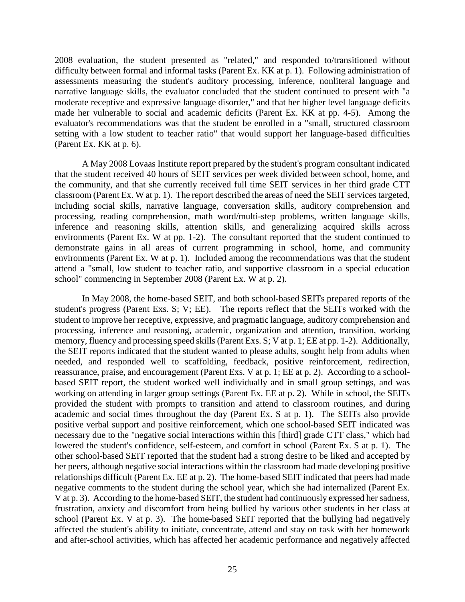2008 evaluation, the student presented as "related," and responded to/transitioned without difficulty between formal and informal tasks (Parent Ex. KK at p. 1). Following administration of assessments measuring the student's auditory processing, inference, nonliteral language and narrative language skills, the evaluator concluded that the student continued to present with "a moderate receptive and expressive language disorder," and that her higher level language deficits made her vulnerable to social and academic deficits (Parent Ex. KK at pp. 4-5). Among the evaluator's recommendations was that the student be enrolled in a "small, structured classroom setting with a low student to teacher ratio" that would support her language-based difficulties (Parent Ex. KK at p. 6).

A May 2008 Lovaas Institute report prepared by the student's program consultant indicated that the student received 40 hours of SEIT services per week divided between school, home, and the community, and that she currently received full time SEIT services in her third grade CTT classroom (Parent Ex. W at p. 1). The report described the areas of need the SEIT services targeted, including social skills, narrative language, conversation skills, auditory comprehension and processing, reading comprehension, math word/multi-step problems, written language skills, inference and reasoning skills, attention skills, and generalizing acquired skills across environments (Parent Ex. W at pp. 1-2). The consultant reported that the student continued to demonstrate gains in all areas of current programming in school, home, and community environments (Parent Ex. W at p. 1). Included among the recommendations was that the student attend a "small, low student to teacher ratio, and supportive classroom in a special education school" commencing in September 2008 (Parent Ex. W at p. 2).

In May 2008, the home-based SEIT, and both school-based SEITs prepared reports of the student's progress (Parent Exs. S; V; EE). The reports reflect that the SEITs worked with the student to improve her receptive, expressive, and pragmatic language, auditory comprehension and processing, inference and reasoning, academic, organization and attention, transition, working memory, fluency and processing speed skills (Parent Exs. S; V at p. 1; EE at pp. 1-2). Additionally, the SEIT reports indicated that the student wanted to please adults, sought help from adults when needed, and responded well to scaffolding, feedback, positive reinforcement, redirection, reassurance, praise, and encouragement (Parent Exs. V at p. 1; EE at p. 2). According to a schoolbased SEIT report, the student worked well individually and in small group settings, and was working on attending in larger group settings (Parent Ex. EE at p. 2). While in school, the SEITs provided the student with prompts to transition and attend to classroom routines, and during academic and social times throughout the day (Parent Ex. S at p. 1). The SEITs also provide positive verbal support and positive reinforcement, which one school-based SEIT indicated was necessary due to the "negative social interactions within this [third] grade CTT class," which had lowered the student's confidence, self-esteem, and comfort in school (Parent Ex. S at p. 1). The other school-based SEIT reported that the student had a strong desire to be liked and accepted by her peers, although negative social interactions within the classroom had made developing positive relationships difficult (Parent Ex. EE at p. 2). The home-based SEIT indicated that peers had made negative comments to the student during the school year, which she had internalized (Parent Ex. V at p. 3). According to the home-based SEIT, the student had continuously expressed her sadness, frustration, anxiety and discomfort from being bullied by various other students in her class at school (Parent Ex. V at p. 3). The home-based SEIT reported that the bullying had negatively affected the student's ability to initiate, concentrate, attend and stay on task with her homework and after-school activities, which has affected her academic performance and negatively affected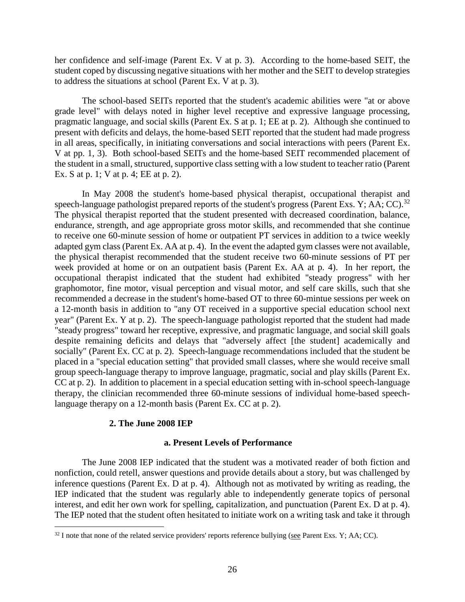her confidence and self-image (Parent Ex. V at p. 3). According to the home-based SEIT, the student coped by discussing negative situations with her mother and the SEIT to develop strategies to address the situations at school (Parent Ex. V at p. 3).

The school-based SEITs reported that the student's academic abilities were "at or above grade level" with delays noted in higher level receptive and expressive language processing, pragmatic language, and social skills (Parent Ex. S at p. 1; EE at p. 2). Although she continued to present with deficits and delays, the home-based SEIT reported that the student had made progress in all areas, specifically, in initiating conversations and social interactions with peers (Parent Ex. V at pp. 1, 3). Both school-based SEITs and the home-based SEIT recommended placement of the student in a small, structured, supportive class setting with a low student to teacher ratio (Parent Ex. S at p. 1; V at p. 4; EE at p. 2).

In May 2008 the student's home-based physical therapist, occupational therapist and speech-language pathologist prepared reports of the student's progress (Parent Exs. Y; AA; CC).<sup>32</sup> The physical therapist reported that the student presented with decreased coordination, balance, endurance, strength, and age appropriate gross motor skills, and recommended that she continue to receive one 60-minute session of home or outpatient PT services in addition to a twice weekly adapted gym class (Parent Ex. AA at p. 4). In the event the adapted gym classes were not available, the physical therapist recommended that the student receive two 60-minute sessions of PT per week provided at home or on an outpatient basis (Parent Ex. AA at p. 4). In her report, the occupational therapist indicated that the student had exhibited "steady progress" with her graphomotor, fine motor, visual perception and visual motor, and self care skills, such that she recommended a decrease in the student's home-based OT to three 60-mintue sessions per week on a 12-month basis in addition to "any OT received in a supportive special education school next year" (Parent Ex. Y at p. 2). The speech-language pathologist reported that the student had made "steady progress" toward her receptive, expressive, and pragmatic language, and social skill goals despite remaining deficits and delays that "adversely affect [the student] academically and socially" (Parent Ex. CC at p. 2). Speech-language recommendations included that the student be placed in a "special education setting" that provided small classes, where she would receive small group speech-language therapy to improve language, pragmatic, social and play skills (Parent Ex. CC at p. 2). In addition to placement in a special education setting with in-school speech-language therapy, the clinician recommended three 60-minute sessions of individual home-based speechlanguage therapy on a 12-month basis (Parent Ex. CC at p. 2).

## **2. The June 2008 IEP**

 $\overline{a}$ 

## **a. Present Levels of Performance**

The June 2008 IEP indicated that the student was a motivated reader of both fiction and nonfiction, could retell, answer questions and provide details about a story, but was challenged by inference questions (Parent Ex. D at p. 4). Although not as motivated by writing as reading, the IEP indicated that the student was regularly able to independently generate topics of personal interest, and edit her own work for spelling, capitalization, and punctuation (Parent Ex. D at p. 4). The IEP noted that the student often hesitated to initiate work on a writing task and take it through

 $32$  I note that none of the related service providers' reports reference bullying (see Parent Exs. Y; AA; CC).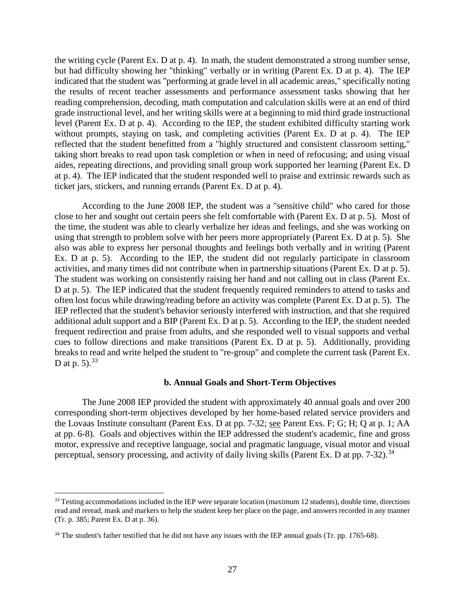the writing cycle (Parent Ex. D at p. 4). In math, the student demonstrated a strong number sense, but had difficulty showing her "thinking" verbally or in writing (Parent Ex. D at p. 4). The IEP indicated that the student was "performing at grade level in all academic areas," specifically noting the results of recent teacher assessments and performance assessment tasks showing that her reading comprehension, decoding, math computation and calculation skills were at an end of third grade instructional level, and her writing skills were at a beginning to mid third grade instructional level (Parent Ex. D at p. 4). According to the IEP, the student exhibited difficulty starting work without prompts, staying on task, and completing activities (Parent Ex. D at p. 4). The IEP reflected that the student benefitted from a "highly structured and consistent classroom setting," taking short breaks to read upon task completion or when in need of refocusing; and using visual aides, repeating directions, and providing small group work supported her learning (Parent Ex. D at p. 4). The IEP indicated that the student responded well to praise and extrinsic rewards such as ticket jars, stickers, and running errands (Parent Ex. D at p. 4).

According to the June 2008 IEP, the student was a "sensitive child" who cared for those close to her and sought out certain peers she felt comfortable with (Parent Ex. D at p. 5). Most of the time, the student was able to clearly verbalize her ideas and feelings, and she was working on using that strength to problem solve with her peers more appropriately (Parent Ex. D at p. 5). She also was able to express her personal thoughts and feelings both verbally and in writing (Parent Ex. D at p. 5). According to the IEP, the student did not regularly participate in classroom activities, and many times did not contribute when in partnership situations (Parent Ex. D at p. 5). The student was working on consistently raising her hand and not calling out in class (Parent Ex. D at p. 5). The IEP indicated that the student frequently required reminders to attend to tasks and often lost focus while drawing/reading before an activity was complete (Parent Ex. D at p. 5). The IEP reflected that the student's behavior seriously interfered with instruction, and that she required additional adult support and a BIP (Parent Ex. D at p. 5). According to the IEP, the student needed frequent redirection and praise from adults, and she responded well to visual supports and verbal cues to follow directions and make transitions (Parent Ex. D at p. 5). Additionally, providing breaks to read and write helped the student to "re-group" and complete the current task (Parent Ex. D at p. 5).  $33$ 

#### **b. Annual Goals and Short-Term Objectives**

The June 2008 IEP provided the student with approximately 40 annual goals and over 200 corresponding short-term objectives developed by her home-based related service providers and the Lovaas Institute consultant (Parent Exs. D at pp. 7-32; see Parent Exs. F; G; H; Q at p. 1; AA at pp. 6-8). Goals and objectives within the IEP addressed the student's academic, fine and gross motor, expressive and receptive language, social and pragmatic language, visual motor and visual perceptual, sensory processing, and activity of daily living skills (Parent Ex. D at pp.  $7-32$ ).<sup>34</sup>

 $33$  Testing accommodations included in the IEP were separate location (maximum 12 students), double time, directions read and reread, mask and markers to help the student keep her place on the page, and answers recorded in any manner (Tr. p. 385; Parent Ex. D at p. 36).

<sup>&</sup>lt;sup>34</sup> The student's father testified that he did not have any issues with the IEP annual goals (Tr. pp. 1765-68).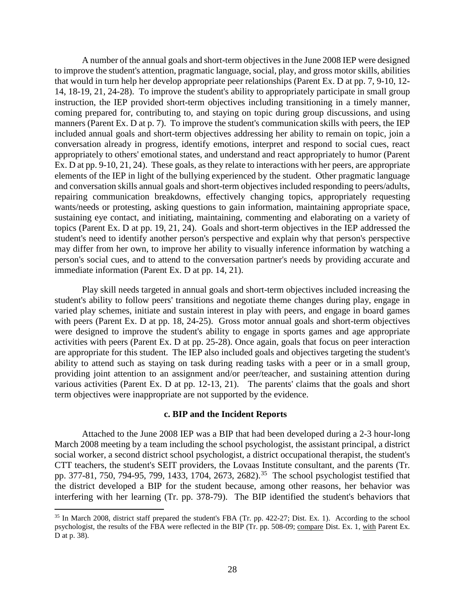A number of the annual goals and short-term objectives in the June 2008 IEP were designed to improve the student's attention, pragmatic language, social, play, and gross motor skills, abilities that would in turn help her develop appropriate peer relationships (Parent Ex. D at pp. 7, 9-10, 12- 14, 18-19, 21, 24-28). To improve the student's ability to appropriately participate in small group instruction, the IEP provided short-term objectives including transitioning in a timely manner, coming prepared for, contributing to, and staying on topic during group discussions, and using manners (Parent Ex. D at p. 7). To improve the student's communication skills with peers, the IEP included annual goals and short-term objectives addressing her ability to remain on topic, join a conversation already in progress, identify emotions, interpret and respond to social cues, react appropriately to others' emotional states, and understand and react appropriately to humor (Parent Ex. D at pp. 9-10, 21, 24). These goals, as they relate to interactions with her peers, are appropriate elements of the IEP in light of the bullying experienced by the student. Other pragmatic language and conversation skills annual goals and short-term objectives included responding to peers/adults, repairing communication breakdowns, effectively changing topics, appropriately requesting wants/needs or protesting, asking questions to gain information, maintaining appropriate space, sustaining eye contact, and initiating, maintaining, commenting and elaborating on a variety of topics (Parent Ex. D at pp. 19, 21, 24). Goals and short-term objectives in the IEP addressed the student's need to identify another person's perspective and explain why that person's perspective may differ from her own, to improve her ability to visually inference information by watching a person's social cues, and to attend to the conversation partner's needs by providing accurate and immediate information (Parent Ex. D at pp. 14, 21).

Play skill needs targeted in annual goals and short-term objectives included increasing the student's ability to follow peers' transitions and negotiate theme changes during play, engage in varied play schemes, initiate and sustain interest in play with peers, and engage in board games with peers (Parent Ex. D at pp. 18, 24-25). Gross motor annual goals and short-term objectives were designed to improve the student's ability to engage in sports games and age appropriate activities with peers (Parent Ex. D at pp. 25-28). Once again, goals that focus on peer interaction are appropriate for this student. The IEP also included goals and objectives targeting the student's ability to attend such as staying on task during reading tasks with a peer or in a small group, providing joint attention to an assignment and/or peer/teacher, and sustaining attention during various activities (Parent Ex. D at pp. 12-13, 21). The parents' claims that the goals and short term objectives were inappropriate are not supported by the evidence.

## **c. BIP and the Incident Reports**

Attached to the June 2008 IEP was a BIP that had been developed during a 2-3 hour-long March 2008 meeting by a team including the school psychologist, the assistant principal, a district social worker, a second district school psychologist, a district occupational therapist, the student's CTT teachers, the student's SEIT providers, the Lovaas Institute consultant, and the parents (Tr. pp. 377-81, 750, 794-95, 799, 1433, 1704, 2673, 2682).<sup>35</sup> The school psychologist testified that the district developed a BIP for the student because, among other reasons, her behavior was interfering with her learning (Tr. pp. 378-79). The BIP identified the student's behaviors that

<sup>&</sup>lt;sup>35</sup> In March 2008, district staff prepared the student's FBA (Tr. pp. 422-27; Dist. Ex. 1). According to the school psychologist, the results of the FBA were reflected in the BIP (Tr. pp. 508-09; compare Dist. Ex. 1, with Parent Ex. D at p. 38).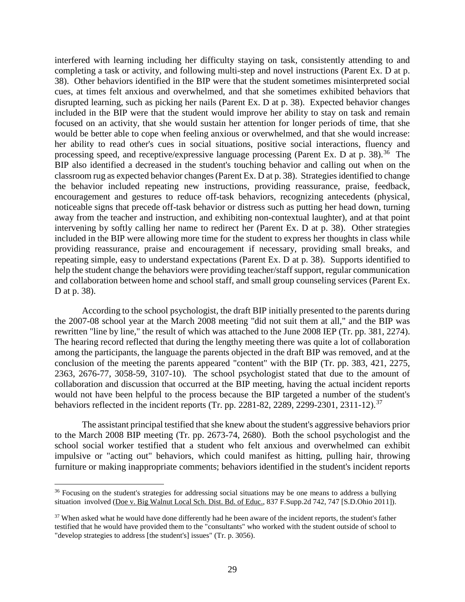interfered with learning including her difficulty staying on task, consistently attending to and completing a task or activity, and following multi-step and novel instructions (Parent Ex. D at p. 38). Other behaviors identified in the BIP were that the student sometimes misinterpreted social cues, at times felt anxious and overwhelmed, and that she sometimes exhibited behaviors that disrupted learning, such as picking her nails (Parent Ex. D at p. 38). Expected behavior changes included in the BIP were that the student would improve her ability to stay on task and remain focused on an activity, that she would sustain her attention for longer periods of time, that she would be better able to cope when feeling anxious or overwhelmed, and that she would increase: her ability to read other's cues in social situations, positive social interactions, fluency and processing speed, and receptive/expressive language processing (Parent Ex. D at p. 38).<sup>36</sup> The BIP also identified a decreased in the student's touching behavior and calling out when on the classroom rug as expected behavior changes (Parent Ex. D at p. 38). Strategies identified to change the behavior included repeating new instructions, providing reassurance, praise, feedback, encouragement and gestures to reduce off-task behaviors, recognizing antecedents (physical, noticeable signs that precede off-task behavior or distress such as putting her head down, turning away from the teacher and instruction, and exhibiting non-contextual laughter), and at that point intervening by softly calling her name to redirect her (Parent Ex. D at p. 38). Other strategies included in the BIP were allowing more time for the student to express her thoughts in class while providing reassurance, praise and encouragement if necessary, providing small breaks, and repeating simple, easy to understand expectations (Parent Ex. D at p. 38). Supports identified to help the student change the behaviors were providing teacher/staff support, regular communication and collaboration between home and school staff, and small group counseling services (Parent Ex. D at p. 38).

According to the school psychologist, the draft BIP initially presented to the parents during the 2007-08 school year at the March 2008 meeting "did not suit them at all," and the BIP was rewritten "line by line," the result of which was attached to the June 2008 IEP (Tr. pp. 381, 2274). The hearing record reflected that during the lengthy meeting there was quite a lot of collaboration among the participants, the language the parents objected in the draft BIP was removed, and at the conclusion of the meeting the parents appeared "content" with the BIP (Tr. pp. 383, 421, 2275, 2363, 2676-77, 3058-59, 3107-10). The school psychologist stated that due to the amount of collaboration and discussion that occurred at the BIP meeting, having the actual incident reports would not have been helpful to the process because the BIP targeted a number of the student's behaviors reflected in the incident reports (Tr. pp. 2281-82, 2289, 2299-2301, 2311-12).<sup>37</sup>

The assistant principal testified that she knew about the student's aggressive behaviors prior to the March 2008 BIP meeting (Tr. pp. 2673-74, 2680). Both the school psychologist and the school social worker testified that a student who felt anxious and overwhelmed can exhibit impulsive or "acting out" behaviors, which could manifest as hitting, pulling hair, throwing furniture or making inappropriate comments; behaviors identified in the student's incident reports

<sup>&</sup>lt;sup>36</sup> Focusing on the student's strategies for addressing social situations may be one means to address a bullying situation involved (Doe v. Big Walnut Local Sch. Dist. Bd. of Educ., 837 F.Supp.2d 742, 747 [S.D.Ohio 2011]).

<sup>&</sup>lt;sup>37</sup> When asked what he would have done differently had he been aware of the incident reports, the student's father testified that he would have provided them to the "consultants" who worked with the student outside of school to "develop strategies to address [the student's] issues" (Tr. p. 3056).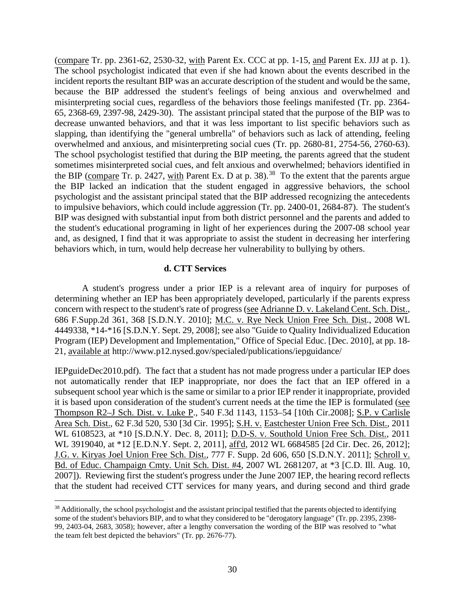(compare Tr. pp. 2361-62, 2530-32, with Parent Ex. CCC at pp. 1-15, and Parent Ex. JJJ at p. 1). The school psychologist indicated that even if she had known about the events described in the incident reports the resultant BIP was an accurate description of the student and would be the same, because the BIP addressed the student's feelings of being anxious and overwhelmed and misinterpreting social cues, regardless of the behaviors those feelings manifested (Tr. pp. 2364- 65, 2368-69, 2397-98, 2429-30). The assistant principal stated that the purpose of the BIP was to decrease unwanted behaviors, and that it was less important to list specific behaviors such as slapping, than identifying the "general umbrella" of behaviors such as lack of attending, feeling overwhelmed and anxious, and misinterpreting social cues (Tr. pp. 2680-81, 2754-56, 2760-63). The school psychologist testified that during the BIP meeting, the parents agreed that the student sometimes misinterpreted social cues, and felt anxious and overwhelmed; behaviors identified in the BIP (compare Tr. p. 2427, with Parent Ex. D at p. 38).<sup>38</sup> To the extent that the parents argue the BIP lacked an indication that the student engaged in aggressive behaviors, the school psychologist and the assistant principal stated that the BIP addressed recognizing the antecedents to impulsive behaviors, which could include aggression (Tr. pp. 2400-01, 2684-87). The student's BIP was designed with substantial input from both district personnel and the parents and added to the student's educational programing in light of her experiences during the 2007-08 school year and, as designed, I find that it was appropriate to assist the student in decreasing her interfering behaviors which, in turn, would help decrease her vulnerability to bullying by others.

# **d. CTT Services**

A student's progress under a prior IEP is a relevant area of inquiry for purposes of determining whether an IEP has been appropriately developed, particularly if the parents express concern with respect to the student's rate of progress (see Adrianne D. v. Lakeland Cent. Sch. Dist., 686 F.Supp.2d 361, 368 [S.D.N.Y. 2010]; M.C. v. Rye Neck Union Free Sch. Dist., 2008 WL 4449338, \*14-\*16 [S.D.N.Y. Sept. 29, 2008]; see also "Guide to Quality Individualized Education Program (IEP) Development and Implementation," Office of Special Educ. [Dec. 2010], at pp. 18- 21, available at http://www.p12.nysed.gov/specialed/publications/iepguidance/

IEPguideDec2010.pdf). The fact that a student has not made progress under a particular IEP does not automatically render that IEP inappropriate, nor does the fact that an IEP offered in a subsequent school year which is the same or similar to a prior IEP render it inappropriate, provided it is based upon consideration of the student's current needs at the time the IEP is formulated (see Thompson R2–J Sch. Dist. v. Luke P., 540 F.3d 1143, 1153–54 [10th Cir.2008]; S.P. v Carlisle Area Sch. Dist., 62 F.3d 520, 530 [3d Cir. 1995]; S.H. v. Eastchester Union Free Sch. Dist., 2011 WL 6108523, at \*10 [S.D.N.Y. Dec. 8, 2011]; D.D-S. v. Southold Union Free Sch. Dist., 2011 WL 3919040, at \*12 [E.D.N.Y. Sept. 2, 2011], aff'd, 2012 WL 6684585 [2d Cir. Dec. 26, 2012]; J.G. v. Kiryas Joel Union Free Sch. Dist., 777 F. Supp. 2d 606, 650 [S.D.N.Y. 2011]; Schroll v. Bd. of Educ. Champaign Cmty. Unit Sch. Dist. #4, 2007 WL 2681207, at \*3 [C.D. Ill. Aug. 10, 2007]). Reviewing first the student's progress under the June 2007 IEP, the hearing record reflects that the student had received CTT services for many years, and during second and third grade

<sup>&</sup>lt;sup>38</sup> Additionally, the school psychologist and the assistant principal testified that the parents objected to identifying some of the student's behaviors BIP, and to what they considered to be "derogatory language" (Tr. pp. 2395, 2398- 99, 2403-04, 2683, 3058); however, after a lengthy conversation the wording of the BIP was resolved to "what the team felt best depicted the behaviors" (Tr. pp. 2676-77).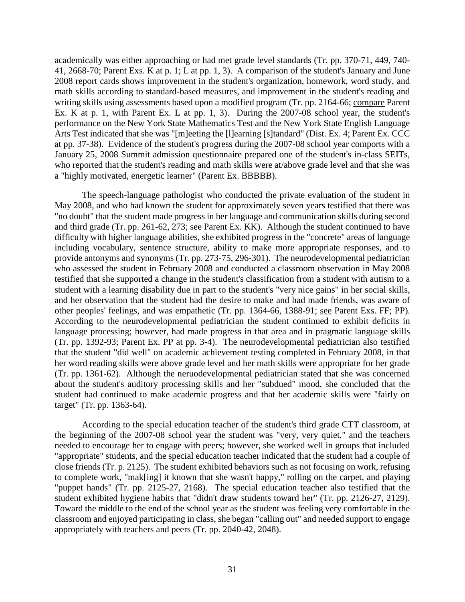academically was either approaching or had met grade level standards (Tr. pp. 370-71, 449, 740- 41, 2668-70; Parent Exs. K at p. 1; L at pp. 1, 3). A comparison of the student's January and June 2008 report cards shows improvement in the student's organization, homework, word study, and math skills according to standard-based measures, and improvement in the student's reading and writing skills using assessments based upon a modified program (Tr. pp. 2164-66; compare Parent Ex. K at p. 1, with Parent Ex. L at pp. 1, 3). During the 2007-08 school year, the student's performance on the New York State Mathematics Test and the New York State English Language Arts Test indicated that she was "[m]eeting the [l]earning [s]tandard" (Dist. Ex. 4; Parent Ex. CCC at pp. 37-38). Evidence of the student's progress during the 2007-08 school year comports with a January 25, 2008 Summit admission questionnaire prepared one of the student's in-class SEITs, who reported that the student's reading and math skills were at/above grade level and that she was a "highly motivated, energetic learner" (Parent Ex. BBBBB).

The speech-language pathologist who conducted the private evaluation of the student in May 2008, and who had known the student for approximately seven years testified that there was "no doubt" that the student made progress in her language and communication skills during second and third grade (Tr. pp. 261-62, 273; see Parent Ex. KK). Although the student continued to have difficulty with higher language abilities, she exhibited progress in the "concrete" areas of language including vocabulary, sentence structure, ability to make more appropriate responses, and to provide antonyms and synonyms (Tr. pp. 273-75, 296-301). The neurodevelopmental pediatrician who assessed the student in February 2008 and conducted a classroom observation in May 2008 testified that she supported a change in the student's classification from a student with autism to a student with a learning disability due in part to the student's "very nice gains" in her social skills, and her observation that the student had the desire to make and had made friends, was aware of other peoples' feelings, and was empathetic (Tr. pp. 1364-66, 1388-91; see Parent Exs. FF; PP). According to the neurodevelopmental pediatrician the student continued to exhibit deficits in language processing; however, had made progress in that area and in pragmatic language skills (Tr. pp. 1392-93; Parent Ex. PP at pp. 3-4). The neurodevelopmental pediatrician also testified that the student "did well" on academic achievement testing completed in February 2008, in that her word reading skills were above grade level and her math skills were appropriate for her grade (Tr. pp. 1361-62). Although the neruodevelopmental pediatrician stated that she was concerned about the student's auditory processing skills and her "subdued" mood, she concluded that the student had continued to make academic progress and that her academic skills were "fairly on target" (Tr. pp. 1363-64).

According to the special education teacher of the student's third grade CTT classroom, at the beginning of the 2007-08 school year the student was "very, very quiet," and the teachers needed to encourage her to engage with peers; however, she worked well in groups that included "appropriate" students, and the special education teacher indicated that the student had a couple of close friends (Tr. p. 2125). The student exhibited behaviors such as not focusing on work, refusing to complete work, "mak[ing] it known that she wasn't happy," rolling on the carpet, and playing "puppet hands" (Tr. pp. 2125-27, 2168). The special education teacher also testified that the student exhibited hygiene habits that "didn't draw students toward her" (Tr. pp. 2126-27, 2129). Toward the middle to the end of the school year as the student was feeling very comfortable in the classroom and enjoyed participating in class, she began "calling out" and needed support to engage appropriately with teachers and peers (Tr. pp. 2040-42, 2048).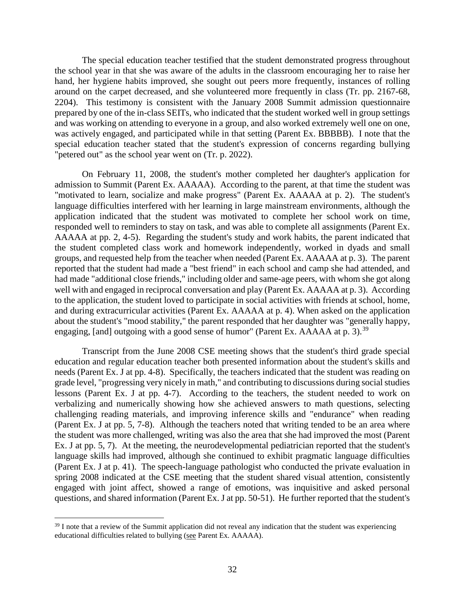The special education teacher testified that the student demonstrated progress throughout the school year in that she was aware of the adults in the classroom encouraging her to raise her hand, her hygiene habits improved, she sought out peers more frequently, instances of rolling around on the carpet decreased, and she volunteered more frequently in class (Tr. pp. 2167-68, 2204). This testimony is consistent with the January 2008 Summit admission questionnaire prepared by one of the in-class SEITs, who indicated that the student worked well in group settings and was working on attending to everyone in a group, and also worked extremely well one on one, was actively engaged, and participated while in that setting (Parent Ex. BBBBB). I note that the special education teacher stated that the student's expression of concerns regarding bullying "petered out" as the school year went on (Tr. p. 2022).

On February 11, 2008, the student's mother completed her daughter's application for admission to Summit (Parent Ex. AAAAA). According to the parent, at that time the student was "motivated to learn, socialize and make progress" (Parent Ex. AAAAA at p. 2). The student's language difficulties interfered with her learning in large mainstream environments, although the application indicated that the student was motivated to complete her school work on time, responded well to reminders to stay on task, and was able to complete all assignments (Parent Ex. AAAAA at pp. 2, 4-5). Regarding the student's study and work habits, the parent indicated that the student completed class work and homework independently, worked in dyads and small groups, and requested help from the teacher when needed (Parent Ex. AAAAA at p. 3). The parent reported that the student had made a "best friend" in each school and camp she had attended, and had made "additional close friends," including older and same-age peers, with whom she got along well with and engaged in reciprocal conversation and play (Parent Ex. AAAAA at p. 3). According to the application, the student loved to participate in social activities with friends at school, home, and during extracurricular activities (Parent Ex. AAAAA at p. 4). When asked on the application about the student's "mood stability," the parent responded that her daughter was "generally happy, engaging, [and] outgoing with a good sense of humor" (Parent Ex. AAAAA at p. 3).<sup>39</sup>

Transcript from the June 2008 CSE meeting shows that the student's third grade special education and regular education teacher both presented information about the student's skills and needs (Parent Ex. J at pp. 4-8). Specifically, the teachers indicated that the student was reading on grade level, "progressing very nicely in math," and contributing to discussions during social studies lessons (Parent Ex. J at pp. 4-7). According to the teachers, the student needed to work on verbalizing and numerically showing how she achieved answers to math questions, selecting challenging reading materials, and improving inference skills and "endurance" when reading (Parent Ex. J at pp. 5, 7-8). Although the teachers noted that writing tended to be an area where the student was more challenged, writing was also the area that she had improved the most (Parent Ex. J at pp. 5, 7). At the meeting, the neurodevelopmental pediatrician reported that the student's language skills had improved, although she continued to exhibit pragmatic language difficulties (Parent Ex. J at p. 41). The speech-language pathologist who conducted the private evaluation in spring 2008 indicated at the CSE meeting that the student shared visual attention, consistently engaged with joint affect, showed a range of emotions, was inquisitive and asked personal questions, and shared information (Parent Ex. J at pp. 50-51). He further reported that the student's

<sup>&</sup>lt;sup>39</sup> I note that a review of the Summit application did not reveal any indication that the student was experiencing educational difficulties related to bullying (see Parent Ex. AAAAA).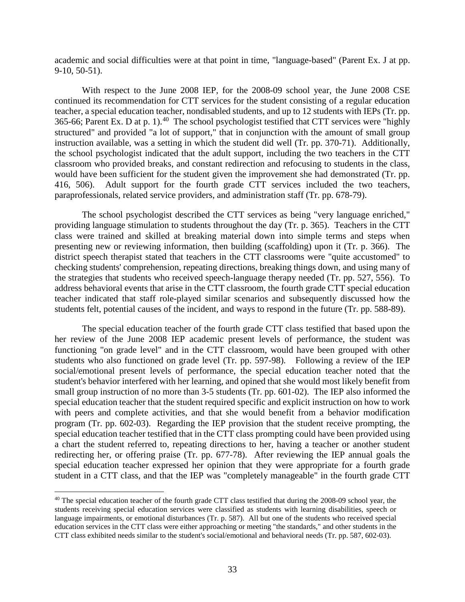academic and social difficulties were at that point in time, "language-based" (Parent Ex. J at pp. 9-10, 50-51).

With respect to the June 2008 IEP, for the 2008-09 school year, the June 2008 CSE continued its recommendation for CTT services for the student consisting of a regular education teacher, a special education teacher, nondisabled students, and up to 12 students with IEPs (Tr. pp. 365-66; Parent Ex. D at p. 1).40 The school psychologist testified that CTT services were "highly structured" and provided "a lot of support," that in conjunction with the amount of small group instruction available, was a setting in which the student did well (Tr. pp. 370-71). Additionally, the school psychologist indicated that the adult support, including the two teachers in the CTT classroom who provided breaks, and constant redirection and refocusing to students in the class, would have been sufficient for the student given the improvement she had demonstrated (Tr. pp. 416, 506). Adult support for the fourth grade CTT services included the two teachers, paraprofessionals, related service providers, and administration staff (Tr. pp. 678-79).

The school psychologist described the CTT services as being "very language enriched," providing language stimulation to students throughout the day (Tr. p. 365). Teachers in the CTT class were trained and skilled at breaking material down into simple terms and steps when presenting new or reviewing information, then building (scaffolding) upon it (Tr. p. 366). The district speech therapist stated that teachers in the CTT classrooms were "quite accustomed" to checking students' comprehension, repeating directions, breaking things down, and using many of the strategies that students who received speech-language therapy needed (Tr. pp. 527, 556). To address behavioral events that arise in the CTT classroom, the fourth grade CTT special education teacher indicated that staff role-played similar scenarios and subsequently discussed how the students felt, potential causes of the incident, and ways to respond in the future (Tr. pp. 588-89).

The special education teacher of the fourth grade CTT class testified that based upon the her review of the June 2008 IEP academic present levels of performance, the student was functioning "on grade level" and in the CTT classroom, would have been grouped with other students who also functioned on grade level (Tr. pp. 597-98). Following a review of the IEP social/emotional present levels of performance, the special education teacher noted that the student's behavior interfered with her learning, and opined that she would most likely benefit from small group instruction of no more than 3-5 students (Tr. pp. 601-02). The IEP also informed the special education teacher that the student required specific and explicit instruction on how to work with peers and complete activities, and that she would benefit from a behavior modification program (Tr. pp. 602-03). Regarding the IEP provision that the student receive prompting, the special education teacher testified that in the CTT class prompting could have been provided using a chart the student referred to, repeating directions to her, having a teacher or another student redirecting her, or offering praise (Tr. pp. 677-78). After reviewing the IEP annual goals the special education teacher expressed her opinion that they were appropriate for a fourth grade student in a CTT class, and that the IEP was "completely manageable" in the fourth grade CTT

<sup>&</sup>lt;sup>40</sup> The special education teacher of the fourth grade CTT class testified that during the 2008-09 school year, the students receiving special education services were classified as students with learning disabilities, speech or language impairments, or emotional disturbances (Tr. p. 587). All but one of the students who received special education services in the CTT class were either approaching or meeting "the standards," and other students in the CTT class exhibited needs similar to the student's social/emotional and behavioral needs (Tr. pp. 587, 602-03).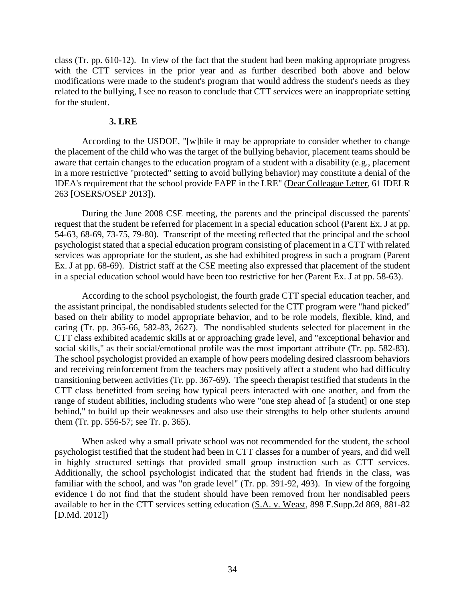class (Tr. pp. 610-12). In view of the fact that the student had been making appropriate progress with the CTT services in the prior year and as further described both above and below modifications were made to the student's program that would address the student's needs as they related to the bullying, I see no reason to conclude that CTT services were an inappropriate setting for the student.

#### **3. LRE**

According to the USDOE, "[w]hile it may be appropriate to consider whether to change the placement of the child who was the target of the bullying behavior, placement teams should be aware that certain changes to the education program of a student with a disability (e.g., placement in a more restrictive "protected" setting to avoid bullying behavior) may constitute a denial of the IDEA's requirement that the school provide FAPE in the LRE" (Dear Colleague Letter, 61 IDELR 263 [OSERS/OSEP 2013]).

During the June 2008 CSE meeting, the parents and the principal discussed the parents' request that the student be referred for placement in a special education school (Parent Ex. J at pp. 54-63, 68-69, 73-75, 79-80). Transcript of the meeting reflected that the principal and the school psychologist stated that a special education program consisting of placement in a CTT with related services was appropriate for the student, as she had exhibited progress in such a program (Parent Ex. J at pp. 68-69). District staff at the CSE meeting also expressed that placement of the student in a special education school would have been too restrictive for her (Parent Ex. J at pp. 58-63).

According to the school psychologist, the fourth grade CTT special education teacher, and the assistant principal, the nondisabled students selected for the CTT program were "hand picked" based on their ability to model appropriate behavior, and to be role models, flexible, kind, and caring (Tr. pp. 365-66, 582-83, 2627). The nondisabled students selected for placement in the CTT class exhibited academic skills at or approaching grade level, and "exceptional behavior and social skills," as their social/emotional profile was the most important attribute (Tr. pp. 582-83). The school psychologist provided an example of how peers modeling desired classroom behaviors and receiving reinforcement from the teachers may positively affect a student who had difficulty transitioning between activities (Tr. pp. 367-69). The speech therapist testified that students in the CTT class benefitted from seeing how typical peers interacted with one another, and from the range of student abilities, including students who were "one step ahead of [a student] or one step behind," to build up their weaknesses and also use their strengths to help other students around them (Tr. pp. 556-57; see Tr. p. 365).

When asked why a small private school was not recommended for the student, the school psychologist testified that the student had been in CTT classes for a number of years, and did well in highly structured settings that provided small group instruction such as CTT services. Additionally, the school psychologist indicated that the student had friends in the class, was familiar with the school, and was "on grade level" (Tr. pp. 391-92, 493). In view of the forgoing evidence I do not find that the student should have been removed from her nondisabled peers available to her in the CTT services setting education (S.A. v. Weast, 898 F.Supp.2d 869, 881-82 [D.Md. 2012])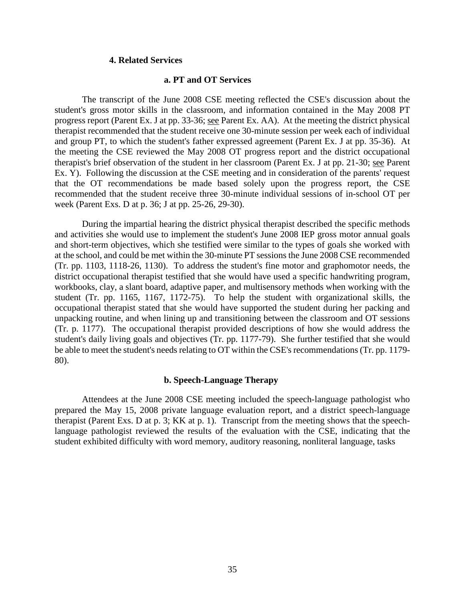#### **4. Related Services**

# **a. PT and OT Services**

The transcript of the June 2008 CSE meeting reflected the CSE's discussion about the student's gross motor skills in the classroom, and information contained in the May 2008 PT progress report (Parent Ex. J at pp. 33-36; see Parent Ex. AA). At the meeting the district physical therapist recommended that the student receive one 30-minute session per week each of individual and group PT, to which the student's father expressed agreement (Parent Ex. J at pp. 35-36). At the meeting the CSE reviewed the May 2008 OT progress report and the district occupational therapist's brief observation of the student in her classroom (Parent Ex. J at pp. 21-30; see Parent Ex. Y). Following the discussion at the CSE meeting and in consideration of the parents' request that the OT recommendations be made based solely upon the progress report, the CSE recommended that the student receive three 30-minute individual sessions of in-school OT per week (Parent Exs. D at p. 36; J at pp. 25-26, 29-30).

During the impartial hearing the district physical therapist described the specific methods and activities she would use to implement the student's June 2008 IEP gross motor annual goals and short-term objectives, which she testified were similar to the types of goals she worked with at the school, and could be met within the 30-minute PT sessions the June 2008 CSE recommended (Tr. pp. 1103, 1118-26, 1130). To address the student's fine motor and graphomotor needs, the district occupational therapist testified that she would have used a specific handwriting program, workbooks, clay, a slant board, adaptive paper, and multisensory methods when working with the student (Tr. pp. 1165, 1167, 1172-75). To help the student with organizational skills, the occupational therapist stated that she would have supported the student during her packing and unpacking routine, and when lining up and transitioning between the classroom and OT sessions (Tr. p. 1177). The occupational therapist provided descriptions of how she would address the student's daily living goals and objectives (Tr. pp. 1177-79). She further testified that she would be able to meet the student's needs relating to OT within the CSE's recommendations (Tr. pp. 1179- 80).

## **b. Speech-Language Therapy**

Attendees at the June 2008 CSE meeting included the speech-language pathologist who prepared the May 15, 2008 private language evaluation report, and a district speech-language therapist (Parent Exs. D at p. 3; KK at p. 1). Transcript from the meeting shows that the speechlanguage pathologist reviewed the results of the evaluation with the CSE, indicating that the student exhibited difficulty with word memory, auditory reasoning, nonliteral language, tasks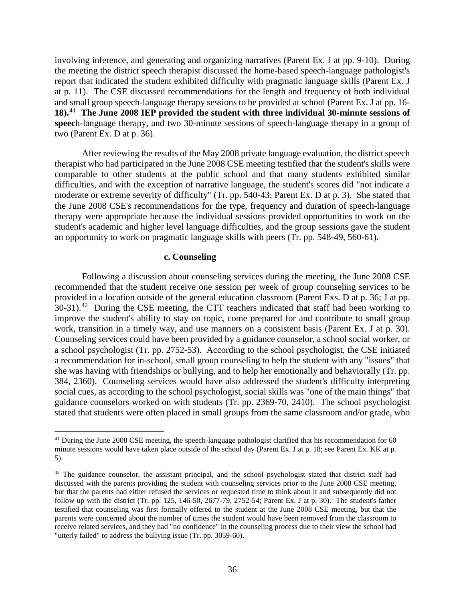involving inference, and generating and organizing narratives (Parent Ex. J at pp. 9-10). During the meeting the district speech therapist discussed the home-based speech-language pathologist's report that indicated the student exhibited difficulty with pragmatic language skills (Parent Ex. J at p. 11). The CSE discussed recommendations for the length and frequency of both individual and small group speech-language therapy sessions to be provided at school (Parent Ex. J at pp. 16- **18).41 The June 2008 IEP provided the student with three individual 30-minute sessions of speec**h-language therapy, and two 30-minute sessions of speech-language therapy in a group of two (Parent Ex. D at p. 36).

After reviewing the results of the May 2008 private language evaluation, the district speech therapist who had participated in the June 2008 CSE meeting testified that the student's skills were comparable to other students at the public school and that many students exhibited similar difficulties, and with the exception of narrative language, the student's scores did "not indicate a moderate or extreme severity of difficulty" (Tr. pp. 540-43; Parent Ex. D at p. 3). She stated that the June 2008 CSE's recommendations for the type, frequency and duration of speech-language therapy were appropriate because the individual sessions provided opportunities to work on the student's academic and higher level language difficulties, and the group sessions gave the student an opportunity to work on pragmatic language skills with peers (Tr. pp. 548-49, 560-61).

## **c. Counseling**

 $\overline{a}$ 

Following a discussion about counseling services during the meeting, the June 2008 CSE recommended that the student receive one session per week of group counseling services to be provided in a location outside of the general education classroom (Parent Exs. D at p. 36; J at pp.  $30-31$ .<sup>42</sup> During the CSE meeting, the CTT teachers indicated that staff had been working to improve the student's ability to stay on topic, come prepared for and contribute to small group work, transition in a timely way, and use manners on a consistent basis (Parent Ex. J at p. 30). Counseling services could have been provided by a guidance counselor, a school social worker, or a school psychologist (Tr. pp. 2752-53). According to the school psychologist, the CSE initiated a recommendation for in-school, small group counseling to help the student with any "issues" that she was having with friendships or bullying, and to help her emotionally and behaviorally (Tr. pp. 384, 2360). Counseling services would have also addressed the student's difficulty interpreting social cues, as according to the school psychologist, social skills was "one of the main things" that guidance counselors worked on with students (Tr. pp. 2369-70, 2410). The school psychologist stated that students were often placed in small groups from the same classroom and/or grade, who

<sup>&</sup>lt;sup>41</sup> During the June 2008 CSE meeting, the speech-language pathologist clarified that his recommendation for 60 minute sessions would have taken place outside of the school day (Parent Ex. J at p. 18; see Parent Ex. KK at p. 5).

<sup>&</sup>lt;sup>42</sup> The guidance counselor, the assistant principal, and the school psychologist stated that district staff had discussed with the parents providing the student with counseling services prior to the June 2008 CSE meeting, but that the parents had either refused the services or requested time to think about it and subsequently did not follow up with the district (Tr. pp. 125, 146-50, 2677-79, 2752-54; Parent Ex. J at p. 30). The student's father testified that counseling was first formally offered to the student at the June 2008 CSE meeting, but that the parents were concerned about the number of times the student would have been removed from the classroom to receive related services, and they had "no confidence" in the counseling process due to their view the school had "utterly failed" to address the bullying issue (Tr. pp. 3059-60).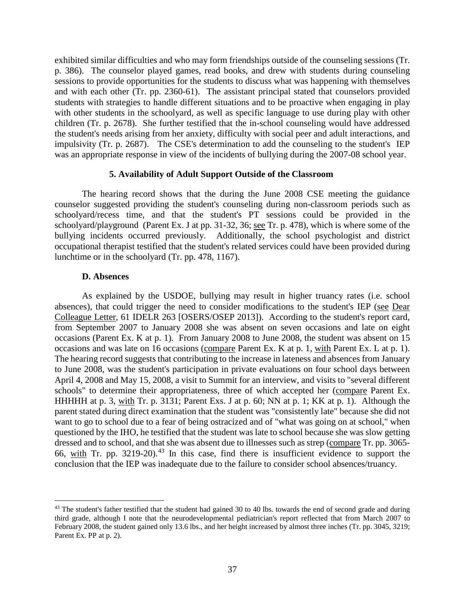exhibited similar difficulties and who may form friendships outside of the counseling sessions (Tr. p. 386). The counselor played games, read books, and drew with students during counseling sessions to provide opportunities for the students to discuss what was happening with themselves and with each other (Tr. pp. 2360-61). The assistant principal stated that counselors provided students with strategies to handle different situations and to be proactive when engaging in play with other students in the schoolyard, as well as specific language to use during play with other children (Tr. p. 2678). She further testified that the in-school counseling would have addressed the student's needs arising from her anxiety, difficulty with social peer and adult interactions, and impulsivity (Tr. p. 2687). The CSE's determination to add the counseling to the student's IEP was an appropriate response in view of the incidents of bullying during the 2007-08 school year.

#### **5. Availability of Adult Support Outside of the Classroom**

The hearing record shows that the during the June 2008 CSE meeting the guidance counselor suggested providing the student's counseling during non-classroom periods such as schoolyard/recess time, and that the student's PT sessions could be provided in the schoolyard/playground (Parent Ex. J at pp. 31-32, 36; see Tr. p. 478), which is where some of the bullying incidents occurred previously. Additionally, the school psychologist and district occupational therapist testified that the student's related services could have been provided during lunchtime or in the schoolyard (Tr. pp. 478, 1167).

#### **D. Absences**

 $\overline{a}$ 

As explained by the USDOE, bullying may result in higher truancy rates (i.e. school absences), that could trigger the need to consider modifications to the student's IEP (see Dear Colleague Letter, 61 IDELR 263 [OSERS/OSEP 2013]). According to the student's report card, from September 2007 to January 2008 she was absent on seven occasions and late on eight occasions (Parent Ex. K at p. 1). From January 2008 to June 2008, the student was absent on 15 occasions and was late on 16 occasions (compare Parent Ex. K at p. 1, with Parent Ex. L at p. 1). The hearing record suggests that contributing to the increase in lateness and absences from January to June 2008, was the student's participation in private evaluations on four school days between April 4, 2008 and May 15, 2008, a visit to Summit for an interview, and visits to "several different schools" to determine their appropriateness, three of which accepted her (compare Parent Ex. HHHHH at p. 3, with Tr. p. 3131; Parent Exs. J at p. 60; NN at p. 1; KK at p. 1). Although the parent stated during direct examination that the student was "consistently late" because she did not want to go to school due to a fear of being ostracized and of "what was going on at school," when questioned by the IHO, he testified that the student was late to school because she was slow getting dressed and to school, and that she was absent due to illnesses such as strep (compare Tr. pp. 3065- 66, with Tr. pp. 3219-20).<sup>43</sup> In this case, find there is insufficient evidence to support the conclusion that the IEP was inadequate due to the failure to consider school absences/truancy.

 $43$  The student's father testified that the student had gained 30 to 40 lbs. towards the end of second grade and during third grade, although I note that the neurodevelopmental pediatrician's report reflected that from March 2007 to February 2008, the student gained only 13.6 lbs., and her height increased by almost three inches (Tr. pp. 3045, 3219; Parent Ex. PP at p. 2).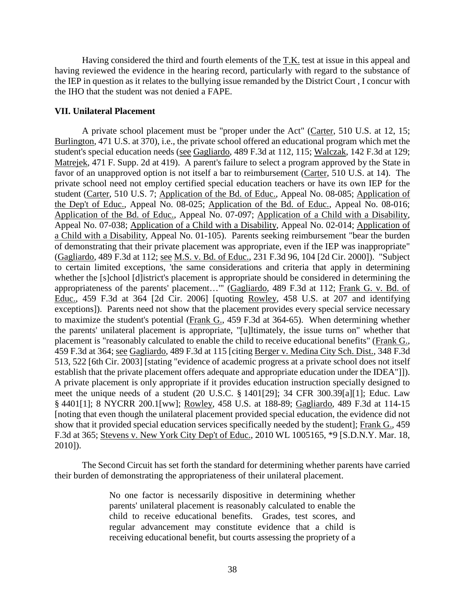Having considered the third and fourth elements of the T.K. test at issue in this appeal and having reviewed the evidence in the hearing record, particularly with regard to the substance of the IEP in question as it relates to the bullying issue remanded by the District Court , I concur with the IHO that the student was not denied a FAPE.

## **VII. Unilateral Placement**

 A private school placement must be "proper under the Act" (Carter, 510 U.S. at 12, 15; Burlington, 471 U.S. at 370), i.e., the private school offered an educational program which met the student's special education needs (see Gagliardo, 489 F.3d at 112, 115; Walczak, 142 F.3d at 129; Matrejek, 471 F. Supp. 2d at 419). A parent's failure to select a program approved by the State in favor of an unapproved option is not itself a bar to reimbursement (Carter, 510 U.S. at 14). The private school need not employ certified special education teachers or have its own IEP for the student (Carter, 510 U.S. 7; Application of the Bd. of Educ., Appeal No. 08-085; Application of the Dep't of Educ., Appeal No. 08-025; Application of the Bd. of Educ., Appeal No. 08-016; Application of the Bd. of Educ., Appeal No. 07-097; Application of a Child with a Disability, Appeal No. 07-038; Application of a Child with a Disability, Appeal No. 02-014; Application of a Child with a Disability, Appeal No. 01-105). Parents seeking reimbursement "bear the burden of demonstrating that their private placement was appropriate, even if the IEP was inappropriate" (Gagliardo, 489 F.3d at 112; see M.S. v. Bd. of Educ., 231 F.3d 96, 104 [2d Cir. 2000]). "Subject to certain limited exceptions, 'the same considerations and criteria that apply in determining whether the [s]chool [d]istrict's placement is appropriate should be considered in determining the appropriateness of the parents' placement…'" (Gagliardo, 489 F.3d at 112; Frank G. v. Bd. of Educ., 459 F.3d at 364 [2d Cir. 2006] [quoting Rowley, 458 U.S. at 207 and identifying exceptions]). Parents need not show that the placement provides every special service necessary to maximize the student's potential (Frank G., 459 F.3d at 364-65). When determining whether the parents' unilateral placement is appropriate, "[u]ltimately, the issue turns on" whether that placement is "reasonably calculated to enable the child to receive educational benefits" (Frank G., 459 F.3d at 364; see Gagliardo, 489 F.3d at 115 [citing Berger v. Medina City Sch. Dist., 348 F.3d 513, 522 [6th Cir. 2003] [stating "evidence of academic progress at a private school does not itself establish that the private placement offers adequate and appropriate education under the IDEA"]]). A private placement is only appropriate if it provides education instruction specially designed to meet the unique needs of a student (20 U.S.C. § 1401[29]; 34 CFR 300.39[a][1]; Educ. Law § 4401[1]; 8 NYCRR 200.1[ww]; Rowley, 458 U.S. at 188-89; Gagliardo, 489 F.3d at 114-15 [noting that even though the unilateral placement provided special education, the evidence did not show that it provided special education services specifically needed by the student]; Frank G., 459 F.3d at 365; Stevens v. New York City Dep't of Educ., 2010 WL 1005165, \*9 [S.D.N.Y. Mar. 18, 2010]).

The Second Circuit has set forth the standard for determining whether parents have carried their burden of demonstrating the appropriateness of their unilateral placement.

> No one factor is necessarily dispositive in determining whether parents' unilateral placement is reasonably calculated to enable the child to receive educational benefits. Grades, test scores, and regular advancement may constitute evidence that a child is receiving educational benefit, but courts assessing the propriety of a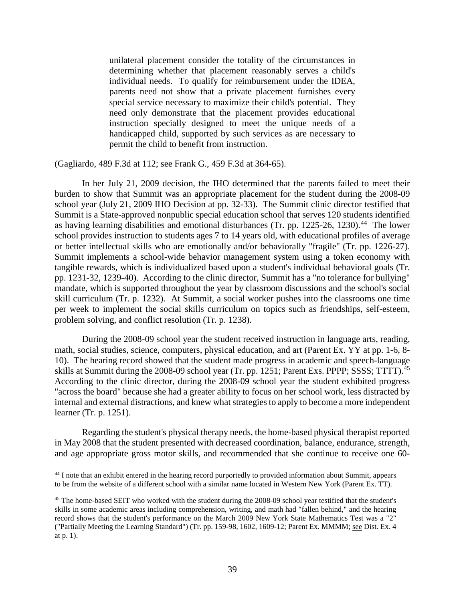unilateral placement consider the totality of the circumstances in determining whether that placement reasonably serves a child's individual needs. To qualify for reimbursement under the IDEA, parents need not show that a private placement furnishes every special service necessary to maximize their child's potential. They need only demonstrate that the placement provides educational instruction specially designed to meet the unique needs of a handicapped child, supported by such services as are necessary to permit the child to benefit from instruction.

(Gagliardo, 489 F.3d at 112; see Frank G., 459 F.3d at 364-65).

In her July 21, 2009 decision, the IHO determined that the parents failed to meet their burden to show that Summit was an appropriate placement for the student during the 2008-09 school year (July 21, 2009 IHO Decision at pp. 32-33). The Summit clinic director testified that Summit is a State-approved nonpublic special education school that serves 120 students identified as having learning disabilities and emotional disturbances (Tr. pp. 1225-26, 1230).<sup>44</sup> The lower school provides instruction to students ages 7 to 14 years old, with educational profiles of average or better intellectual skills who are emotionally and/or behaviorally "fragile" (Tr. pp. 1226-27). Summit implements a school-wide behavior management system using a token economy with tangible rewards, which is individualized based upon a student's individual behavioral goals (Tr. pp. 1231-32, 1239-40). According to the clinic director, Summit has a "no tolerance for bullying" mandate, which is supported throughout the year by classroom discussions and the school's social skill curriculum (Tr. p. 1232). At Summit, a social worker pushes into the classrooms one time per week to implement the social skills curriculum on topics such as friendships, self-esteem, problem solving, and conflict resolution (Tr. p. 1238).

During the 2008-09 school year the student received instruction in language arts, reading, math, social studies, science, computers, physical education, and art (Parent Ex. YY at pp. 1-6, 8- 10). The hearing record showed that the student made progress in academic and speech-language skills at Summit during the 2008-09 school year (Tr. pp. 1251; Parent Exs. PPPP; SSSS; TTTT).<sup>45</sup> According to the clinic director, during the 2008-09 school year the student exhibited progress "across the board" because she had a greater ability to focus on her school work, less distracted by internal and external distractions, and knew what strategies to apply to become a more independent learner (Tr. p. 1251).

Regarding the student's physical therapy needs, the home-based physical therapist reported in May 2008 that the student presented with decreased coordination, balance, endurance, strength, and age appropriate gross motor skills, and recommended that she continue to receive one 60-

 $\overline{a}$ <sup>44</sup> I note that an exhibit entered in the hearing record purportedly to provided information about Summit, appears to be from the website of a different school with a similar name located in Western New York (Parent Ex. TT).

<sup>&</sup>lt;sup>45</sup> The home-based SEIT who worked with the student during the 2008-09 school year testified that the student's skills in some academic areas including comprehension, writing, and math had "fallen behind," and the hearing record shows that the student's performance on the March 2009 New York State Mathematics Test was a "2" ("Partially Meeting the Learning Standard") (Tr. pp. 159-98, 1602, 1609-12; Parent Ex. MMMM; see Dist. Ex. 4 at p. 1).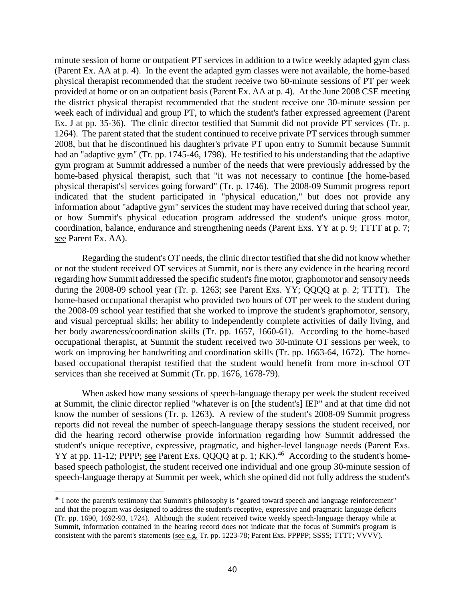minute session of home or outpatient PT services in addition to a twice weekly adapted gym class (Parent Ex. AA at p. 4). In the event the adapted gym classes were not available, the home-based physical therapist recommended that the student receive two 60-minute sessions of PT per week provided at home or on an outpatient basis (Parent Ex. AA at p. 4). At the June 2008 CSE meeting the district physical therapist recommended that the student receive one 30-minute session per week each of individual and group PT, to which the student's father expressed agreement (Parent Ex. J at pp. 35-36). The clinic director testified that Summit did not provide PT services (Tr. p. 1264). The parent stated that the student continued to receive private PT services through summer 2008, but that he discontinued his daughter's private PT upon entry to Summit because Summit had an "adaptive gym" (Tr. pp. 1745-46, 1798). He testified to his understanding that the adaptive gym program at Summit addressed a number of the needs that were previously addressed by the home-based physical therapist, such that "it was not necessary to continue [the home-based physical therapist's] services going forward" (Tr. p. 1746). The 2008-09 Summit progress report indicated that the student participated in "physical education," but does not provide any information about "adaptive gym" services the student may have received during that school year, or how Summit's physical education program addressed the student's unique gross motor, coordination, balance, endurance and strengthening needs (Parent Exs. YY at p. 9; TTTT at p. 7; see Parent Ex. AA).

Regarding the student's OT needs, the clinic director testified that she did not know whether or not the student received OT services at Summit, nor is there any evidence in the hearing record regarding how Summit addressed the specific student's fine motor, graphomotor and sensory needs during the 2008-09 school year (Tr. p. 1263; see Parent Exs. YY; QQQQ at p. 2; TTTT). The home-based occupational therapist who provided two hours of OT per week to the student during the 2008-09 school year testified that she worked to improve the student's graphomotor, sensory, and visual perceptual skills; her ability to independently complete activities of daily living, and her body awareness/coordination skills (Tr. pp. 1657, 1660-61). According to the home-based occupational therapist, at Summit the student received two 30-minute OT sessions per week, to work on improving her handwriting and coordination skills (Tr. pp. 1663-64, 1672). The homebased occupational therapist testified that the student would benefit from more in-school OT services than she received at Summit (Tr. pp. 1676, 1678-79).

When asked how many sessions of speech-language therapy per week the student received at Summit, the clinic director replied "whatever is on [the student's] IEP" and at that time did not know the number of sessions (Tr. p. 1263). A review of the student's 2008-09 Summit progress reports did not reveal the number of speech-language therapy sessions the student received, nor did the hearing record otherwise provide information regarding how Summit addressed the student's unique receptive, expressive, pragmatic, and higher-level language needs (Parent Exs. YY at pp. 11-12; PPPP; see Parent Exs. QQQQ at p. 1;  $\overline{KK}$ ).<sup>46</sup> According to the student's homebased speech pathologist, the student received one individual and one group 30-minute session of speech-language therapy at Summit per week, which she opined did not fully address the student's

<sup>46</sup> I note the parent's testimony that Summit's philosophy is "geared toward speech and language reinforcement" and that the program was designed to address the student's receptive, expressive and pragmatic language deficits (Tr. pp. 1690, 1692-93, 1724). Although the student received twice weekly speech-language therapy while at Summit, information contained in the hearing record does not indicate that the focus of Summit's program is consistent with the parent's statements (see e.g. Tr. pp. 1223-78; Parent Exs. PPPPP; SSSS; TTTT; VVVV).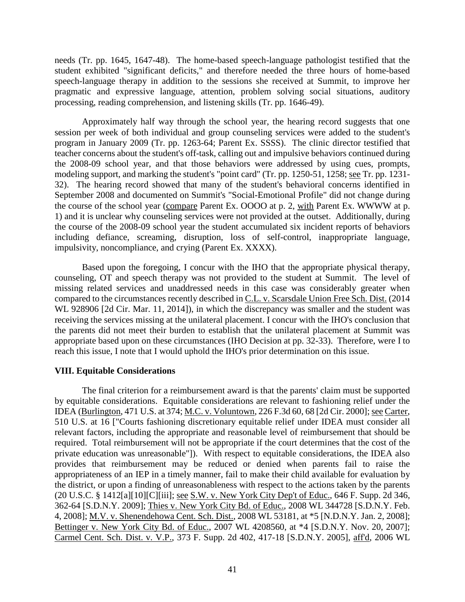needs (Tr. pp. 1645, 1647-48). The home-based speech-language pathologist testified that the student exhibited "significant deficits," and therefore needed the three hours of home-based speech-language therapy in addition to the sessions she received at Summit, to improve her pragmatic and expressive language, attention, problem solving social situations, auditory processing, reading comprehension, and listening skills (Tr. pp. 1646-49).

Approximately half way through the school year, the hearing record suggests that one session per week of both individual and group counseling services were added to the student's program in January 2009 (Tr. pp. 1263-64; Parent Ex. SSSS). The clinic director testified that teacher concerns about the student's off-task, calling out and impulsive behaviors continued during the 2008-09 school year, and that those behaviors were addressed by using cues, prompts, modeling support, and marking the student's "point card" (Tr. pp. 1250-51, 1258; see Tr. pp. 1231- 32). The hearing record showed that many of the student's behavioral concerns identified in September 2008 and documented on Summit's "Social-Emotional Profile" did not change during the course of the school year (compare Parent Ex. OOOO at p. 2, with Parent Ex. WWWW at p. 1) and it is unclear why counseling services were not provided at the outset. Additionally, during the course of the 2008-09 school year the student accumulated six incident reports of behaviors including defiance, screaming, disruption, loss of self-control, inappropriate language, impulsivity, noncompliance, and crying (Parent Ex. XXXX).

Based upon the foregoing, I concur with the IHO that the appropriate physical therapy, counseling, OT and speech therapy was not provided to the student at Summit. The level of missing related services and unaddressed needs in this case was considerably greater when compared to the circumstances recently described in C.L. v. Scarsdale Union Free Sch. Dist. (2014 WL 928906 [2d Cir. Mar. 11, 2014]), in which the discrepancy was smaller and the student was receiving the services missing at the unilateral placement. I concur with the IHO's conclusion that the parents did not meet their burden to establish that the unilateral placement at Summit was appropriate based upon on these circumstances (IHO Decision at pp. 32-33). Therefore, were I to reach this issue, I note that I would uphold the IHO's prior determination on this issue.

# **VIII. Equitable Considerations**

The final criterion for a reimbursement award is that the parents' claim must be supported by equitable considerations. Equitable considerations are relevant to fashioning relief under the IDEA (Burlington, 471 U.S. at 374; M.C. v. Voluntown, 226 F.3d 60, 68 [2d Cir. 2000]; see Carter, 510 U.S. at 16 ["Courts fashioning discretionary equitable relief under IDEA must consider all relevant factors, including the appropriate and reasonable level of reimbursement that should be required. Total reimbursement will not be appropriate if the court determines that the cost of the private education was unreasonable"]). With respect to equitable considerations, the IDEA also provides that reimbursement may be reduced or denied when parents fail to raise the appropriateness of an IEP in a timely manner, fail to make their child available for evaluation by the district, or upon a finding of unreasonableness with respect to the actions taken by the parents (20 U.S.C. § 1412[a][10][C][iii]; see S.W. v. New York City Dep't of Educ., 646 F. Supp. 2d 346, 362-64 [S.D.N.Y. 2009]; Thies v. New York City Bd. of Educ., 2008 WL 344728 [S.D.N.Y. Feb. 4, 2008]; M.V. v. Shenendehowa Cent. Sch. Dist., 2008 WL 53181, at \*5 [N.D.N.Y. Jan. 2, 2008]; Bettinger v. New York City Bd. of Educ., 2007 WL 4208560, at \*4 [S.D.N.Y. Nov. 20, 2007]; Carmel Cent. Sch. Dist. v. V.P., 373 F. Supp. 2d 402, 417-18 [S.D.N.Y. 2005], aff'd, 2006 WL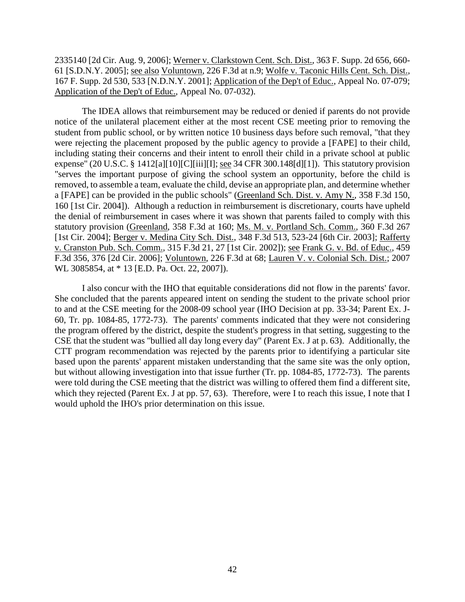2335140 [2d Cir. Aug. 9, 2006]; Werner v. Clarkstown Cent. Sch. Dist., 363 F. Supp. 2d 656, 660- 61 [S.D.N.Y. 2005]; see also Voluntown, 226 F.3d at n.9; Wolfe v. Taconic Hills Cent. Sch. Dist., 167 F. Supp. 2d 530, 533 [N.D.N.Y. 2001]; Application of the Dep't of Educ., Appeal No. 07-079; Application of the Dep't of Educ., Appeal No. 07-032).

 The IDEA allows that reimbursement may be reduced or denied if parents do not provide notice of the unilateral placement either at the most recent CSE meeting prior to removing the student from public school, or by written notice 10 business days before such removal, "that they were rejecting the placement proposed by the public agency to provide a [FAPE] to their child, including stating their concerns and their intent to enroll their child in a private school at public expense" (20 U.S.C. § 1412[a][10][C][iii][I]; see 34 CFR 300.148[d][1]). This statutory provision "serves the important purpose of giving the school system an opportunity, before the child is removed, to assemble a team, evaluate the child, devise an appropriate plan, and determine whether a [FAPE] can be provided in the public schools" (Greenland Sch. Dist. v. Amy N., 358 F.3d 150, 160 [1st Cir. 2004]). Although a reduction in reimbursement is discretionary, courts have upheld the denial of reimbursement in cases where it was shown that parents failed to comply with this statutory provision (Greenland, 358 F.3d at 160; Ms. M. v. Portland Sch. Comm., 360 F.3d 267 [1st Cir. 2004]; Berger v. Medina City Sch. Dist., 348 F.3d 513, 523-24 [6th Cir. 2003]; Rafferty v. Cranston Pub. Sch. Comm., 315 F.3d 21, 27 [1st Cir. 2002]); see Frank G. v. Bd. of Educ., 459 F.3d 356, 376 [2d Cir. 2006]; Voluntown, 226 F.3d at 68; Lauren V. v. Colonial Sch. Dist.; 2007 WL 3085854, at \* 13 [E.D. Pa. Oct. 22, 2007]).

I also concur with the IHO that equitable considerations did not flow in the parents' favor. She concluded that the parents appeared intent on sending the student to the private school prior to and at the CSE meeting for the 2008-09 school year (IHO Decision at pp. 33-34; Parent Ex. J-60, Tr. pp. 1084-85, 1772-73). The parents' comments indicated that they were not considering the program offered by the district, despite the student's progress in that setting, suggesting to the CSE that the student was "bullied all day long every day" (Parent Ex. J at p. 63). Additionally, the CTT program recommendation was rejected by the parents prior to identifying a particular site based upon the parents' apparent mistaken understanding that the same site was the only option, but without allowing investigation into that issue further (Tr. pp. 1084-85, 1772-73). The parents were told during the CSE meeting that the district was willing to offered them find a different site, which they rejected (Parent Ex. J at pp. 57, 63). Therefore, were I to reach this issue, I note that I would uphold the IHO's prior determination on this issue.